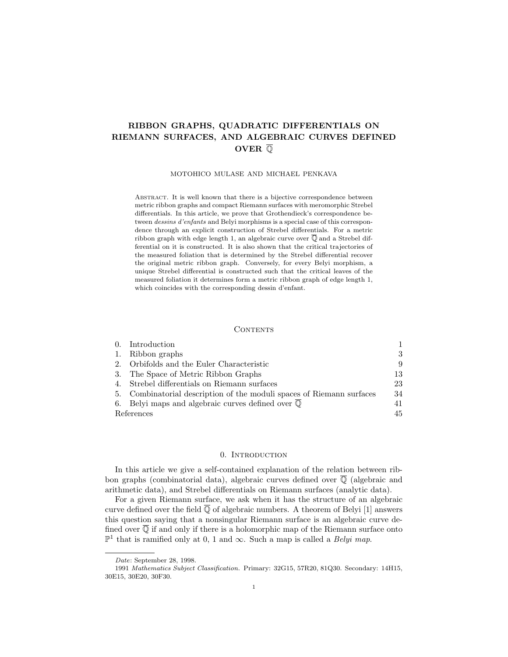# **RIBBON GRAPHS, QUADRATIC DIFFERENTIALS ON RIEMANN SURFACES, AND ALGEBRAIC CURVES DEFINED OVER** Q

#### MOTOHICO MULASE AND MICHAEL PENKAVA

ABSTRACT. It is well known that there is a bijective correspondence between metric ribbon graphs and compact Riemann surfaces with meromorphic Strebel differentials. In this article, we prove that Grothendieck's correspondence between dessins d'enfants and Belyi morphisms is a special case of this correspondence through an explicit construction of Strebel differentials. For a metric ribbon graph with edge length 1, an algebraic curve over  $\overline{Q}$  and a Strebel differential on it is constructed. It is also shown that the critical trajectories of the measured foliation that is determined by the Strebel differential recover the original metric ribbon graph. Conversely, for every Belyi morphism, a unique Strebel differential is constructed such that the critical leaves of the measured foliation it determines form a metric ribbon graph of edge length 1, which coincides with the corresponding dessin d'enfant.

# **CONTENTS**

|            | 0. Introduction                                                       |     |
|------------|-----------------------------------------------------------------------|-----|
|            | 1. Ribbon graphs                                                      | 3   |
|            | 2. Orbifolds and the Euler Characteristic                             | 9   |
|            | 3. The Space of Metric Ribbon Graphs                                  | -13 |
|            | 4. Strebel differentials on Riemann surfaces                          | 23  |
|            | 5. Combinatorial description of the moduli spaces of Riemann surfaces | -34 |
|            | 6. Belyi maps and algebraic curves defined over $\mathbb Q$           | 41  |
| References |                                                                       |     |

### 0. INTRODUCTION

In this article we give a self-contained explanation of the relation between ribbon graphs (combinatorial data), algebraic curves defined over  $\overline{Q}$  (algebraic and arithmetic data), and Strebel differentials on Riemann surfaces (analytic data).

For a given Riemann surface, we ask when it has the structure of an algebraic curve defined over the field  $\overline{Q}$  of algebraic numbers. A theorem of Belyi [1] answers this question saying that a nonsingular Riemann surface is an algebraic curve defined over  $\overline{Q}$  if and only if there is a holomorphic map of the Riemann surface onto  $\mathbb{P}^1$  that is ramified only at 0, 1 and ∞. Such a map is called a *Belyi map*.

Date: September 28, 1998.

<sup>1991</sup> Mathematics Subject Classification. Primary: 32G15, 57R20, 81Q30. Secondary: 14H15, 30E15, 30E20, 30F30.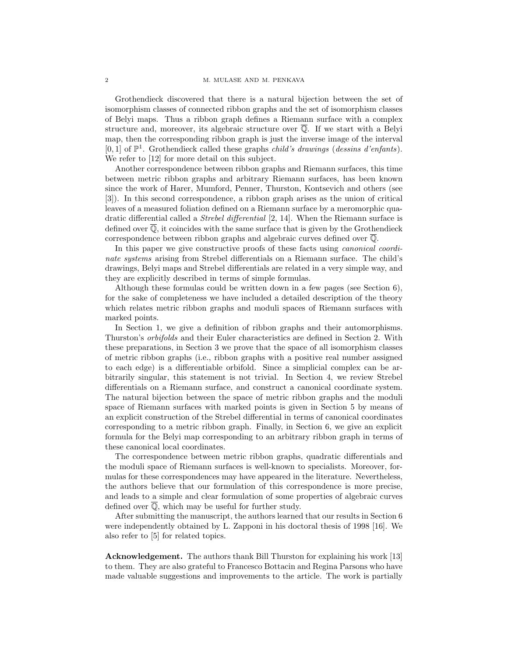Grothendieck discovered that there is a natural bijection between the set of isomorphism classes of connected ribbon graphs and the set of isomorphism classes of Belyi maps. Thus a ribbon graph defines a Riemann surface with a complex structure and, moreover, its algebraic structure over  $\overline{Q}$ . If we start with a Belyi map, then the corresponding ribbon graph is just the inverse image of the interval  $[0, 1]$  of  $\mathbb{P}^1$ . Grothendieck called these graphs *child's drawings (dessins d'enfants)*. We refer to [12] for more detail on this subject.

Another correspondence between ribbon graphs and Riemann surfaces, this time between metric ribbon graphs and arbitrary Riemann surfaces, has been known since the work of Harer, Mumford, Penner, Thurston, Kontsevich and others (see [3]). In this second correspondence, a ribbon graph arises as the union of critical leaves of a measured foliation defined on a Riemann surface by a meromorphic quadratic differential called a Strebel differential [2, 14]. When the Riemann surface is defined over  $\overline{\mathbb{Q}}$ , it coincides with the same surface that is given by the Grothendieck correspondence between ribbon graphs and algebraic curves defined over Q.

In this paper we give constructive proofs of these facts using *canonical coordi*nate systems arising from Strebel differentials on a Riemann surface. The child's drawings, Belyi maps and Strebel differentials are related in a very simple way, and they are explicitly described in terms of simple formulas.

Although these formulas could be written down in a few pages (see Section 6), for the sake of completeness we have included a detailed description of the theory which relates metric ribbon graphs and moduli spaces of Riemann surfaces with marked points.

In Section 1, we give a definition of ribbon graphs and their automorphisms. Thurston's orbifolds and their Euler characteristics are defined in Section 2. With these preparations, in Section 3 we prove that the space of all isomorphism classes of metric ribbon graphs (i.e., ribbon graphs with a positive real number assigned to each edge) is a differentiable orbifold. Since a simplicial complex can be arbitrarily singular, this statement is not trivial. In Section 4, we review Strebel differentials on a Riemann surface, and construct a canonical coordinate system. The natural bijection between the space of metric ribbon graphs and the moduli space of Riemann surfaces with marked points is given in Section 5 by means of an explicit construction of the Strebel differential in terms of canonical coordinates corresponding to a metric ribbon graph. Finally, in Section 6, we give an explicit formula for the Belyi map corresponding to an arbitrary ribbon graph in terms of these canonical local coordinates.

The correspondence between metric ribbon graphs, quadratic differentials and the moduli space of Riemann surfaces is well-known to specialists. Moreover, formulas for these correspondences may have appeared in the literature. Nevertheless, the authors believe that our formulation of this correspondence is more precise, and leads to a simple and clear formulation of some properties of algebraic curves defined over  $\overline{Q}$ , which may be useful for further study.

After submitting the manuscript, the authors learned that our results in Section 6 were independently obtained by L. Zapponi in his doctoral thesis of 1998 [16]. We also refer to [5] for related topics.

**Acknowledgement.** The authors thank Bill Thurston for explaining his work [13] to them. They are also grateful to Francesco Bottacin and Regina Parsons who have made valuable suggestions and improvements to the article. The work is partially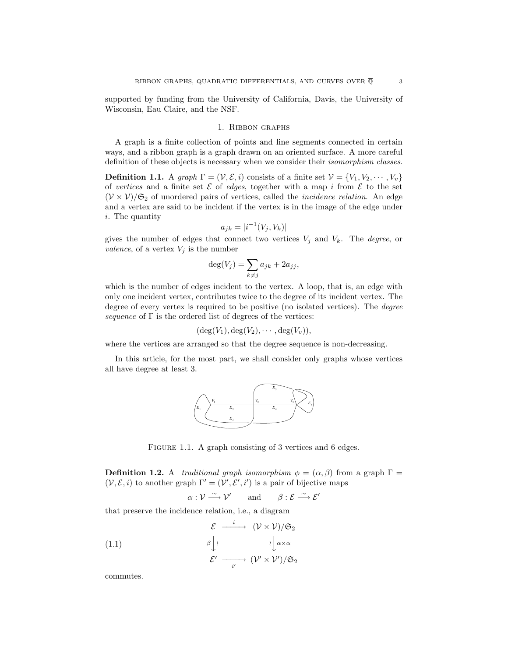supported by funding from the University of California, Davis, the University of Wisconsin, Eau Claire, and the NSF.

### 1. Ribbon graphs

A graph is a finite collection of points and line segments connected in certain ways, and a ribbon graph is a graph drawn on an oriented surface. A more careful definition of these objects is necessary when we consider their isomorphism classes.

**Definition 1.1.** A graph  $\Gamma = (\mathcal{V}, \mathcal{E}, i)$  consists of a finite set  $\mathcal{V} = \{V_1, V_2, \cdots, V_v\}$ of vertices and a finite set  $\mathcal E$  of edges, together with a map i from  $\mathcal E$  to the set  $(V \times V)/\mathfrak{S}_2$  of unordered pairs of vertices, called the *incidence relation*. An edge and a vertex are said to be incident if the vertex is in the image of the edge under i. The quantity

$$
a_{jk} = |i^{-1}(V_j, V_k)|
$$

gives the number of edges that connect two vertices  $V_i$  and  $V_k$ . The *degree*, or valence, of a vertex  $V_j$  is the number

$$
\deg(V_j) = \sum_{k \neq j} a_{jk} + 2a_{jj},
$$

which is the number of edges incident to the vertex. A loop, that is, an edge with only one incident vertex, contributes twice to the degree of its incident vertex. The degree of every vertex is required to be positive (no isolated vertices). The degree sequence of  $\Gamma$  is the ordered list of degrees of the vertices:

$$
(\deg(V_1), \deg(V_2), \cdots, \deg(V_v)),
$$

where the vertices are arranged so that the degree sequence is non-decreasing.

In this article, for the most part, we shall consider only graphs whose vertices all have degree at least 3.



FIGURE 1.1. A graph consisting of 3 vertices and 6 edges.

**Definition 1.2.** A *traditional graph isomorphism*  $\phi = (\alpha, \beta)$  from a graph  $\Gamma =$  $(V, \mathcal{E}, i)$  to another graph  $\Gamma' = (V', \mathcal{E}', i')$  is a pair of bijective maps

 $\alpha: \mathcal{V} \longrightarrow \mathcal{V}'$  and  $\beta: \mathcal{E} \longrightarrow \mathcal{E}'$ 

that preserve the incidence relation, i.e., a diagram

(1.1)  
\n
$$
\begin{array}{ccc}\n\mathcal{E} & \xrightarrow{i} & (\mathcal{V} \times \mathcal{V})/\mathfrak{S}_2 \\
\downarrow^{\beta} & & \downarrow^{\beta} \alpha \times \alpha \\
\mathcal{E}' & \xrightarrow{i'} & (\mathcal{V}' \times \mathcal{V}')/\mathfrak{S}_2\n\end{array}
$$

commutes.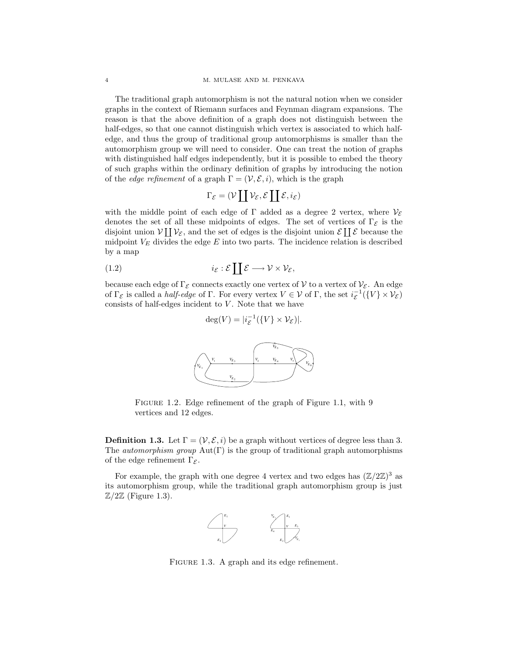The traditional graph automorphism is not the natural notion when we consider graphs in the context of Riemann surfaces and Feynman diagram expansions. The reason is that the above definition of a graph does not distinguish between the half-edges, so that one cannot distinguish which vertex is associated to which halfedge, and thus the group of traditional group automorphisms is smaller than the automorphism group we will need to consider. One can treat the notion of graphs with distinguished half edges independently, but it is possible to embed the theory of such graphs within the ordinary definition of graphs by introducing the notion of the *edge refinement* of a graph  $\Gamma = (\mathcal{V}, \mathcal{E}, i)$ , which is the graph

$$
\Gamma_{\mathcal{E}} = (\mathcal{V} \coprod \mathcal{V}_{\mathcal{E}}, \mathcal{E} \coprod \mathcal{E}, i_{\mathcal{E}})
$$

with the middle point of each edge of  $\Gamma$  added as a degree 2 vertex, where  $\mathcal{V}_{\mathcal{E}}$ denotes the set of all these midpoints of edges. The set of vertices of  $\Gamma_{\mathcal{E}}$  is the disjoint union  $V \coprod V_{\mathcal{E}}$ , and the set of edges is the disjoint union  $\mathcal{E} \coprod \mathcal{E}$  because the midpoint  $V_E$  divides the edge  $E$  into two parts. The incidence relation is described by a map

$$
(1.2) \t\t i_{\mathcal{E}} : \mathcal{E} \coprod \mathcal{E} \longrightarrow \mathcal{V} \times \mathcal{V}_{\mathcal{E}},
$$

because each edge of  $\Gamma_{\mathcal{E}}$  connects exactly one vertex of  $\mathcal{V}$  to a vertex of  $\mathcal{V}_{\mathcal{E}}$ . An edge of  $\Gamma_{\mathcal{E}}$  is called a *half-edge* of  $\Gamma$ . For every vertex  $V \in \mathcal{V}$  of  $\Gamma$ , the set  $i_{\mathcal{E}}^{-1}(\{V\} \times \mathcal{V}_{\mathcal{E}})$ consists of half-edges incident to  $V$ . Note that we have

 $deg(V) = |i_{\mathcal{E}}^{-1}(\{V\} \times \mathcal{V}_{\mathcal{E}})|.$ 

*<sup>V</sup>*<sup>1</sup> *<sup>V</sup>* <sup>3</sup> *<sup>V</sup>*<sup>2</sup> *<sup>V</sup> <sup>E</sup>* <sup>3</sup> *VE* 2 *VE* 1 *VE* 6 *VE* 4 *VE* 5

Figure 1.2. Edge refinement of the graph of Figure 1.1, with 9 vertices and 12 edges.

**Definition 1.3.** Let  $\Gamma = (\mathcal{V}, \mathcal{E}, i)$  be a graph without vertices of degree less than 3. The *automorphism group*  $Aut(\Gamma)$  is the group of traditional graph automorphisms of the edge refinement  $\Gamma_{\mathcal{E}}$ .

For example, the graph with one degree 4 vertex and two edges has  $(\mathbb{Z}/2\mathbb{Z})^3$  as its automorphism group, while the traditional graph automorphism group is just  $\mathbb{Z}/2\mathbb{Z}$  (Figure 1.3).



FIGURE 1.3. A graph and its edge refinement.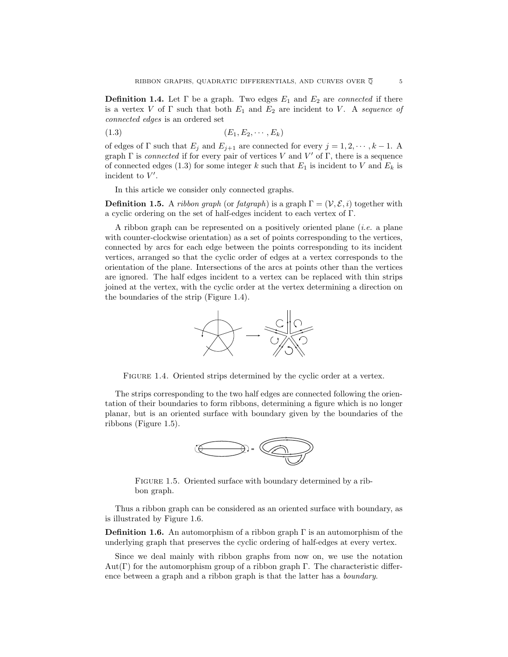**Definition 1.4.** Let  $\Gamma$  be a graph. Two edges  $E_1$  and  $E_2$  are *connected* if there is a vertex V of  $\Gamma$  such that both  $E_1$  and  $E_2$  are incident to V. A sequence of connected edges is an ordered set

$$
(1.3) \qquad (E_1, E_2, \cdots, E_k)
$$

of edges of  $\Gamma$  such that  $E_j$  and  $E_{j+1}$  are connected for every  $j = 1, 2, \dots, k-1$ . A graph  $\Gamma$  is *connected* if for every pair of vertices V and V' of  $\Gamma$ , there is a sequence of connected edges (1.3) for some integer k such that  $E_1$  is incident to V and  $E_k$  is incident to  $V'$ .

In this article we consider only connected graphs.

**Definition 1.5.** A ribbon graph (or fatgraph) is a graph  $\Gamma = (\mathcal{V}, \mathcal{E}, i)$  together with a cyclic ordering on the set of half-edges incident to each vertex of Γ.

A ribbon graph can be represented on a positively oriented plane (i.e. a plane with counter-clockwise orientation) as a set of points corresponding to the vertices, connected by arcs for each edge between the points corresponding to its incident vertices, arranged so that the cyclic order of edges at a vertex corresponds to the orientation of the plane. Intersections of the arcs at points other than the vertices are ignored. The half edges incident to a vertex can be replaced with thin strips joined at the vertex, with the cyclic order at the vertex determining a direction on the boundaries of the strip (Figure 1.4).



FIGURE 1.4. Oriented strips determined by the cyclic order at a vertex.

The strips corresponding to the two half edges are connected following the orientation of their boundaries to form ribbons, determining a figure which is no longer planar, but is an oriented surface with boundary given by the boundaries of the ribbons (Figure 1.5).



FIGURE 1.5. Oriented surface with boundary determined by a ribbon graph.

Thus a ribbon graph can be considered as an oriented surface with boundary, as is illustrated by Figure 1.6.

**Definition 1.6.** An automorphism of a ribbon graph Γ is an automorphism of the underlying graph that preserves the cyclic ordering of half-edges at every vertex.

Since we deal mainly with ribbon graphs from now on, we use the notation  $Aut(\Gamma)$  for the automorphism group of a ribbon graph  $\Gamma$ . The characteristic difference between a graph and a ribbon graph is that the latter has a boundary.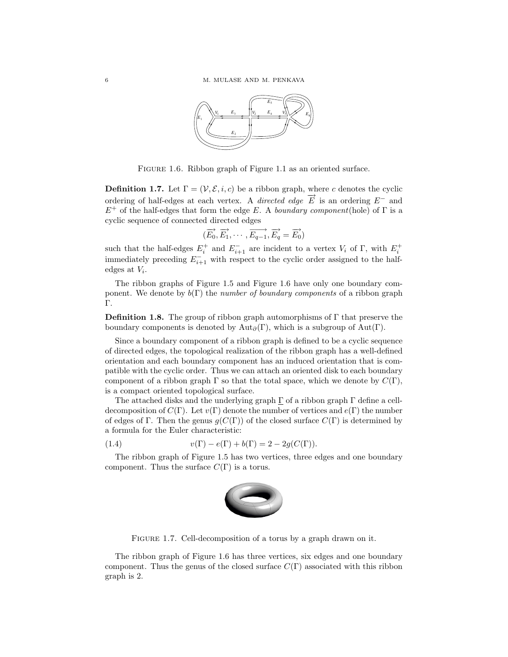

Figure 1.6. Ribbon graph of Figure 1.1 as an oriented surface.

**Definition 1.7.** Let  $\Gamma = (\nu, \mathcal{E}, i, c)$  be a ribbon graph, where c denotes the cyclic ordering of half-edges at each vertex. A *directed edge*  $\overrightarrow{E}$  is an ordering  $E^{-}$  and  $E^+$  of the half-edges that form the edge E. A boundary component(hole) of  $\Gamma$  is a cyclic sequence of connected directed edges

$$
(\overrightarrow{E_0}, \overrightarrow{E_1}, \cdots, \overrightarrow{E_{q-1}}, \overrightarrow{E_q} = \overrightarrow{E_0})
$$

such that the half-edges  $E_i^+$  and  $E_{i+1}^-$  are incident to a vertex  $V_i$  of  $\Gamma$ , with  $E_i^+$ immediately preceding  $E_{i+1}^-$  with respect to the cyclic order assigned to the halfedges at  $V_i$ .

The ribbon graphs of Figure 1.5 and Figure 1.6 have only one boundary component. We denote by  $b(\Gamma)$  the *number of boundary components* of a ribbon graph Γ.

**Definition 1.8.** The group of ribbon graph automorphisms of  $\Gamma$  that preserve the boundary components is denoted by  $\text{Aut}_\partial(\Gamma)$ , which is a subgroup of  $\text{Aut}(\Gamma)$ .

Since a boundary component of a ribbon graph is defined to be a cyclic sequence of directed edges, the topological realization of the ribbon graph has a well-defined orientation and each boundary component has an induced orientation that is compatible with the cyclic order. Thus we can attach an oriented disk to each boundary component of a ribbon graph  $\Gamma$  so that the total space, which we denote by  $C(\Gamma)$ , is a compact oriented topological surface.

The attached disks and the underlying graph  $\Gamma$  of a ribbon graph  $\Gamma$  define a celldecomposition of  $C(\Gamma)$ . Let  $v(\Gamma)$  denote the number of vertices and  $e(\Gamma)$  the number of edges of Γ. Then the genus  $g(C(\Gamma))$  of the closed surface  $C(\Gamma)$  is determined by a formula for the Euler characteristic:

(1.4) 
$$
v(\Gamma) - e(\Gamma) + b(\Gamma) = 2 - 2g(C(\Gamma)).
$$

The ribbon graph of Figure 1.5 has two vertices, three edges and one boundary component. Thus the surface  $C(\Gamma)$  is a torus.



FIGURE 1.7. Cell-decomposition of a torus by a graph drawn on it.

The ribbon graph of Figure 1.6 has three vertices, six edges and one boundary component. Thus the genus of the closed surface  $C(\Gamma)$  associated with this ribbon graph is 2.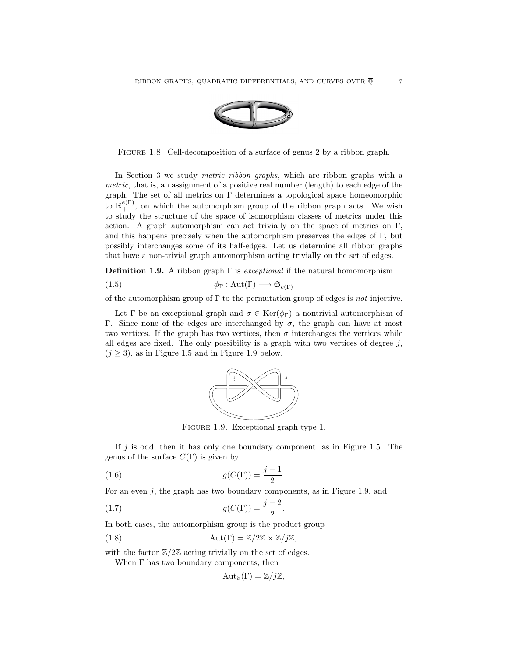

FIGURE 1.8. Cell-decomposition of a surface of genus 2 by a ribbon graph.

In Section 3 we study metric ribbon graphs, which are ribbon graphs with a metric, that is, an assignment of a positive real number (length) to each edge of the graph. The set of all metrics on Γ determines a topological space homeomorphic to  $\mathbb{R}^{e(\Gamma)}_+$ , on which the automorphism group of the ribbon graph acts. We wish to study the structure of the space of isomorphism classes of metrics under this action. A graph automorphism can act trivially on the space of metrics on  $\Gamma$ , and this happens precisely when the automorphism preserves the edges of  $\Gamma$ , but possibly interchanges some of its half-edges. Let us determine all ribbon graphs that have a non-trivial graph automorphism acting trivially on the set of edges.

**Definition 1.9.** A ribbon graph  $\Gamma$  is *exceptional* if the natural homomorphism

(1.5)  $\phi_{\Gamma} : \text{Aut}(\Gamma) \longrightarrow \mathfrak{S}_{e(\Gamma)}$ 

of the automorphism group of  $\Gamma$  to the permutation group of edges is not injective.

Let  $\Gamma$  be an exceptional graph and  $\sigma \in \text{Ker}(\phi_{\Gamma})$  a nontrivial automorphism of Γ. Since none of the edges are interchanged by σ, the graph can have at most two vertices. If the graph has two vertices, then  $\sigma$  interchanges the vertices while all edges are fixed. The only possibility is a graph with two vertices of degree  $j$ ,  $(j \geq 3)$ , as in Figure 1.5 and in Figure 1.9 below.



Figure 1.9. Exceptional graph type 1.

If  $j$  is odd, then it has only one boundary component, as in Figure 1.5. The genus of the surface  $C(\Gamma)$  is given by

(1.6) 
$$
g(C(\Gamma)) = \frac{j-1}{2}.
$$

For an even j, the graph has two boundary components, as in Figure 1.9, and

(1.7) 
$$
g(C(\Gamma)) = \frac{j-2}{2}.
$$

In both cases, the automorphism group is the product group

(1.8) 
$$
\operatorname{Aut}(\Gamma) = \mathbb{Z}/2\mathbb{Z} \times \mathbb{Z}/j\mathbb{Z},
$$

with the factor  $\mathbb{Z}/2\mathbb{Z}$  acting trivially on the set of edges.

When  $\Gamma$  has two boundary components, then

$$
Aut_{\partial}(\Gamma) = \mathbb{Z}/j\mathbb{Z},
$$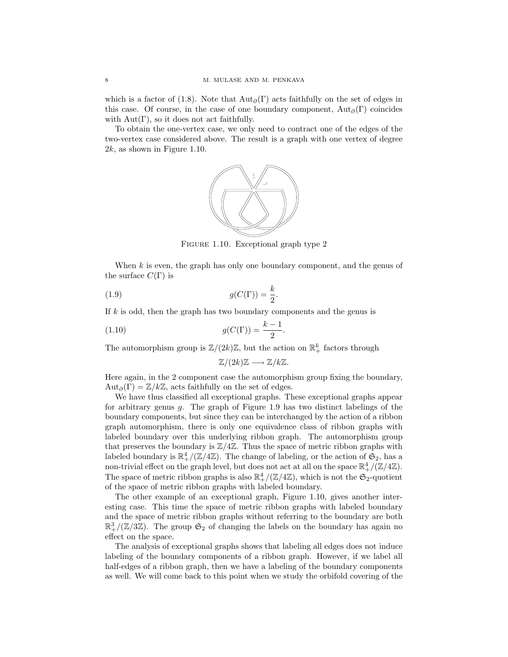which is a factor of (1.8). Note that  $Aut_{\partial}(\Gamma)$  acts faithfully on the set of edges in this case. Of course, in the case of one boundary component,  $Aut_{\partial}(\Gamma)$  coincides with  $Aut(\Gamma)$ , so it does not act faithfully.

To obtain the one-vertex case, we only need to contract one of the edges of the two-vertex case considered above. The result is a graph with one vertex of degree  $2k$ , as shown in Figure 1.10.



FIGURE 1.10. Exceptional graph type 2

When  $k$  is even, the graph has only one boundary component, and the genus of the surface  $C(\Gamma)$  is

$$
(1.9) \t\t g(C(\Gamma)) = \frac{k}{2}.
$$

If  $k$  is odd, then the graph has two boundary components and the genus is

(1.10) 
$$
g(C(\Gamma)) = \frac{k-1}{2}.
$$

The automorphism group is  $\mathbb{Z}/(2k)\mathbb{Z}$ , but the action on  $\mathbb{R}^k_+$  factors through

$$
\mathbb{Z}/(2k)\mathbb{Z} \longrightarrow \mathbb{Z}/k\mathbb{Z}.
$$

Here again, in the 2 component case the automorphism group fixing the boundary,  $Aut_{\partial}(\Gamma) = \mathbb{Z}/k\mathbb{Z}$ , acts faithfully on the set of edges.

We have thus classified all exceptional graphs. These exceptional graphs appear for arbitrary genus g. The graph of Figure 1.9 has two distinct labelings of the boundary components, but since they can be interchanged by the action of a ribbon graph automorphism, there is only one equivalence class of ribbon graphs with labeled boundary over this underlying ribbon graph. The automorphism group that preserves the boundary is  $\mathbb{Z}/4\mathbb{Z}$ . Thus the space of metric ribbon graphs with labeled boundary is  $\mathbb{R}^4_+/(\mathbb{Z}/4\mathbb{Z})$ . The change of labeling, or the action of  $\mathfrak{S}_2$ , has a non-trivial effect on the graph level, but does not act at all on the space  $\mathbb{R}^4_+/(\mathbb{Z}/4\mathbb{Z})$ . The space of metric ribbon graphs is also  $\mathbb{R}^4_+/(\mathbb{Z}/4\mathbb{Z})$ , which is not the  $\mathfrak{S}_2$ -quotient of the space of metric ribbon graphs with labeled boundary.

The other example of an exceptional graph, Figure 1.10, gives another interesting case. This time the space of metric ribbon graphs with labeled boundary and the space of metric ribbon graphs without referring to the boundary are both  $\mathbb{R}^3_+/(\mathbb{Z}/3\mathbb{Z})$ . The group  $\mathfrak{S}_2$  of changing the labels on the boundary has again no effect on the space.

The analysis of exceptional graphs shows that labeling all edges does not induce labeling of the boundary components of a ribbon graph. However, if we label all half-edges of a ribbon graph, then we have a labeling of the boundary components as well. We will come back to this point when we study the orbifold covering of the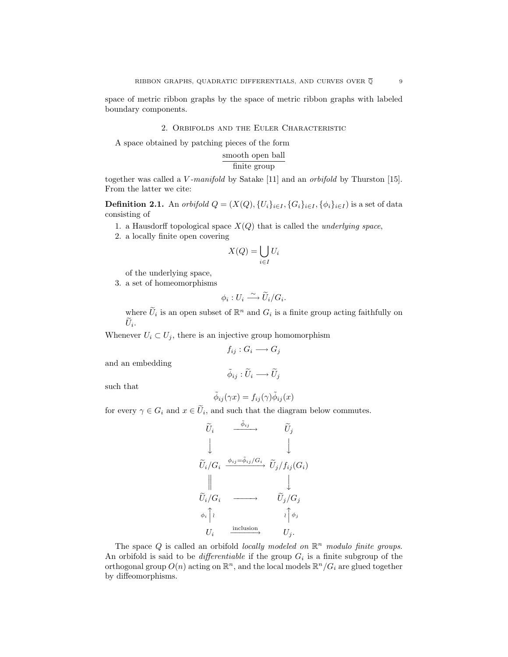space of metric ribbon graphs by the space of metric ribbon graphs with labeled boundary components.

# 2. Orbifolds and the Euler Characteristic

A space obtained by patching pieces of the form

$$
\frac{\text{smooth open ball}}{\text{finite group}}
$$

together was called a V-manifold by Satake [11] and an orbifold by Thurston [15]. From the latter we cite:

**Definition 2.1.** An orbifold  $Q = (X(Q), \{U_i\}_{i \in I}, \{G_i\}_{i \in I}, \{\phi_i\}_{i \in I})$  is a set of data consisting of

- 1. a Hausdorff topological space  $X(Q)$  that is called the *underlying space*,
- 2. a locally finite open covering

$$
X(Q) = \bigcup_{i \in I} U_i
$$

of the underlying space,

3. a set of homeomorphisms

$$
\phi_i: U_i \longrightarrow \widetilde{U}_i/G_i.
$$

where  $\widetilde{U}_i$  is an open subset of  $\mathbb{R}^n$  and  $G_i$  is a finite group acting faithfully on  $U_i$ .

Whenever  $U_i \subset U_j$ , there is an injective group homomorphism

$$
f_{ij}: G_i \longrightarrow G_j
$$

and an embedding

such that

$$
\tilde{\phi}_{ij}(\gamma x) = f_{ij}(\gamma)\tilde{\phi}_{ij}(x)
$$

 $\tilde{\phi}_{ij} : \tilde{U}_i \longrightarrow \tilde{U}_j$ 

for every  $\gamma \in G_i$  and  $x \in \widetilde{U}_i$ , and such that the diagram below commutes.

$$
\widetilde{U}_i \xrightarrow{\tilde{\phi}_{ij}} \widetilde{U}_j
$$
\n
$$
\downarrow \qquad \qquad \downarrow
$$
\n
$$
\widetilde{U}_i/G_i \xrightarrow{\phi_{ij}=\tilde{\phi}_{ij}/G_i} \widetilde{U}_j/f_{ij}(G_i)
$$
\n
$$
\parallel \qquad \qquad \downarrow
$$
\n
$$
\widetilde{U}_i/G_i \longrightarrow \qquad \widetilde{U}_j/G_j
$$
\n
$$
\phi_i \uparrow \qquad \qquad \downarrow
$$
\n
$$
U_i \xrightarrow{\text{inclusion}} \qquad U_j.
$$

The space Q is called an orbifold locally modeled on  $\mathbb{R}^n$  modulo finite groups. An orbifold is said to be *differentiable* if the group  $G_i$  is a finite subgroup of the orthogonal group  $O(n)$  acting on  $\mathbb{R}^n$ , and the local models  $\mathbb{R}^n/G_i$  are glued together by diffeomorphisms.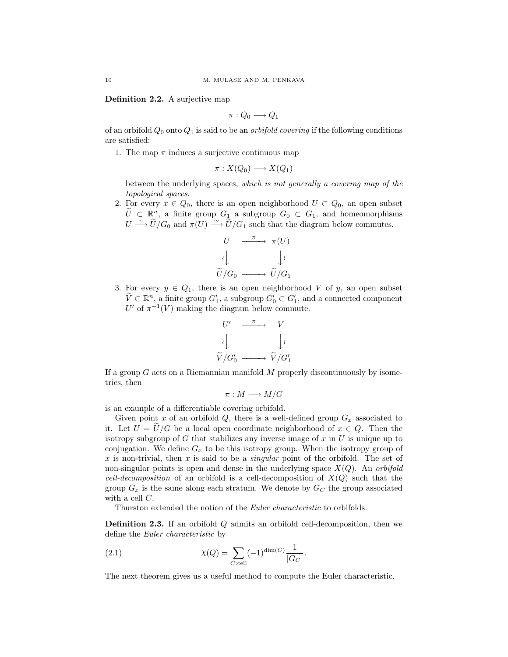**Definition 2.2.** A surjective map

$$
\pi:Q_0\longrightarrow Q_1
$$

of an orbifold  $Q_0$  onto  $Q_1$  is said to be an *orbifold covering* if the following conditions are satisfied:

1. The map  $\pi$  induces a surjective continuous map

$$
\pi: X(Q_0) \longrightarrow X(Q_1)
$$

between the underlying spaces, which is not generally a covering map of the topological spaces.

2. For every  $x \in Q_0$ , there is an open neighborhood  $U \subset Q_0$ , an open subset  $\tilde{U} \subset \mathbb{R}^n$ , a finite group  $G_1$  a subgroup  $G_0 \subset G_1$ , and homeomorphisms  $U \stackrel{\sim}{\longrightarrow} U/G_0$  and  $\pi(U) \stackrel{\sim}{\longrightarrow} U/G_1$  such that the diagram below commutes.

$$
U \xrightarrow{\pi} \pi(U)
$$

$$
\downarrow \qquad \qquad \downarrow \qquad \qquad \downarrow \qquad \qquad \downarrow \qquad \qquad \downarrow \qquad \qquad \downarrow \qquad \qquad \downarrow \qquad \qquad \downarrow \qquad \qquad \downarrow \qquad \qquad \downarrow \qquad \qquad \downarrow \qquad \qquad \downarrow \qquad \qquad \downarrow \qquad \qquad \downarrow \qquad \qquad \downarrow \qquad \qquad \downarrow \qquad \qquad \downarrow \qquad \qquad \downarrow \qquad \qquad \downarrow \qquad \qquad \downarrow \qquad \qquad \downarrow \qquad \qquad \downarrow \qquad \downarrow \qquad \qquad \downarrow \qquad \downarrow \qquad \downarrow \qquad \qquad \downarrow \qquad \downarrow \qquad \qquad \downarrow \qquad \downarrow \qquad \downarrow \qquad \downarrow \qquad \downarrow \qquad \downarrow \qquad \downarrow \qquad \downarrow \qquad \downarrow \qquad \downarrow \qquad \downarrow \qquad \downarrow \qquad \downarrow \qquad \downarrow \qquad \downarrow \qquad \downarrow \qquad \downarrow \qquad \downarrow \qquad \downarrow \qquad \downarrow \qquad \downarrow \qquad \downarrow \qquad \downarrow \qquad \downarrow \qquad \downarrow \qquad \downarrow \qquad \downarrow \qquad \downarrow \qquad \downarrow \qquad \downarrow \qquad \downarrow \qquad \downarrow \qquad \downarrow \qquad \downarrow \qquad \downarrow \qquad \downarrow \qquad \downarrow \qquad \downarrow \qquad \downarrow \qquad \downarrow \qquad \downarrow \qquad \downarrow \qquad \downarrow \qquad \downarrow \qquad \downarrow \qquad \downarrow \qquad \downarrow \qquad \downarrow \qquad \downarrow \qquad \downarrow \qquad \downarrow \qquad \downarrow \qquad \downarrow \qquad \downarrow \qquad \downarrow \qquad \downarrow \qquad \downarrow \qquad \downarrow \qquad \downarrow \qquad \downarrow \qquad \downarrow \qquad \downarrow \qquad \downarrow \qquad \downarrow \qquad \downarrow \qquad \downarrow \qquad \downarrow \qquad \downarrow \qquad \downarrow \qquad \downarrow \qquad \downarrow \qquad \downarrow \qquad \downarrow \qquad \downarrow \qquad \downarrow \qquad \downarrow \qquad \downarrow \qquad \downarrow \qquad \downarrow \qquad \downarrow \qquad \downarrow \qquad \downarrow \qquad \downarrow \qquad \downarrow \
$$

3. For every  $y \in Q_1$ , there is an open neighborhood V of y, an open subset  $\widetilde{V} \subset \mathbb{R}^n$ , a finite group  $G'_1$ , a subgroup  $G'_0 \subset G'_1$ , and a connected component U' of  $\pi^{-1}(V)$  making the diagram below commute.



If a group  $G$  acts on a Riemannian manifold  $M$  properly discontinuously by isometries, then

 $\pi : M \longrightarrow M/G$ 

is an example of a differentiable covering orbifold.

Given point x of an orbifold  $Q$ , there is a well-defined group  $G_x$  associated to it. Let  $U = \tilde{U}/G$  be a local open coordinate neighborhood of  $x \in Q$ . Then the isotropy subgroup of G that stabilizes any inverse image of  $x$  in  $U$  is unique up to conjugation. We define  $G_x$  to be this isotropy group. When the isotropy group of x is non-trivial, then x is said to be a *singular* point of the orbifold. The set of non-singular points is open and dense in the underlying space  $X(Q)$ . An orbifold cell-decomposition of an orbifold is a cell-decomposition of  $X(Q)$  such that the group  $G_x$  is the same along each stratum. We denote by  $G_C$  the group associated with a cell C.

Thurston extended the notion of the *Euler characteristic* to orbifolds.

**Definition 2.3.** If an orbifold Q admits an orbifold cell-decomposition, then we define the Euler characteristic by

(2.1) 
$$
\chi(Q) = \sum_{C:\text{cell}} (-1)^{\dim(C)} \frac{1}{|G_C|}.
$$

The next theorem gives us a useful method to compute the Euler characteristic.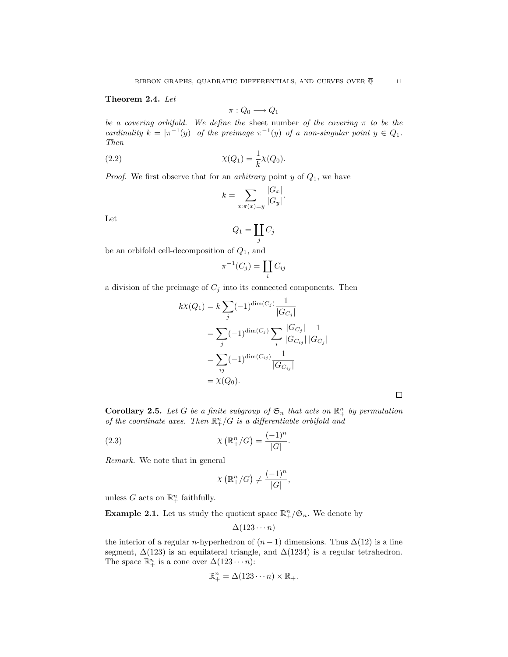# **Theorem2.4.** Let

$$
\pi:Q_0\longrightarrow Q_1
$$

be a covering orbifold. We define the sheet number of the covering  $\pi$  to be the cardinality  $k = |\pi^{-1}(y)|$  of the preimage  $\pi^{-1}(y)$  of a non-singular point  $y \in Q_1$ . Then

(2.2) 
$$
\chi(Q_1) = \frac{1}{k}\chi(Q_0).
$$

*Proof.* We first observe that for an *arbitrary* point  $y$  of  $Q_1$ , we have

$$
k = \sum_{x: \pi(x)=y} \frac{|G_x|}{|G_y|}.
$$

Let

$$
Q_1 = \coprod_j C_j
$$

be an orbifold cell-decomposition of  $Q_1$ , and

$$
\pi^{-1}(C_j) = \coprod_i C_{ij}
$$

a division of the preimage of  $C_j$  into its connected components. Then

$$
k\chi(Q_1) = k \sum_j (-1)^{\dim(C_j)} \frac{1}{|G_{C_j}|}
$$
  
= 
$$
\sum_j (-1)^{\dim(C_j)} \sum_i \frac{|G_{C_j}|}{|G_{C_{ij}}|} \frac{1}{|G_{C_j}|}
$$
  
= 
$$
\sum_{ij} (-1)^{\dim(C_{ij})} \frac{1}{|G_{C_{ij}}|}
$$
  
= 
$$
\chi(Q_0).
$$

**Corollary 2.5.** Let G be a finite subgroup of  $\mathfrak{S}_n$  that acts on  $\mathbb{R}^n_+$  by permutation of the coordinate axes. Then  $\mathbb{R}^n_+ / G$  is a differentiable orbifold and

(2.3) 
$$
\chi\left(\mathbb{R}^n_+/G\right) = \frac{(-1)^n}{|G|}.
$$

Remark. We note that in general

$$
\chi\left(\mathbb{R}^n_+/G\right) \neq \frac{(-1)^n}{|G|},
$$

unless G acts on  $\mathbb{R}^n_+$  faithfully.

**Example 2.1.** Let us study the quotient space  $\mathbb{R}^n_+/\mathfrak{S}_n$ . We denote by

$$
\Delta(123\cdots n)
$$

the interior of a regular n-hyperhedron of  $(n-1)$  dimensions. Thus  $\Delta(12)$  is a line segment,  $\Delta(123)$  is an equilateral triangle, and  $\Delta(1234)$  is a regular tetrahedron. The space  $\mathbb{R}^n_+$  is a cone over  $\Delta(123 \cdots n)$ :

$$
\mathbb{R}^n_+ = \Delta(123\cdots n) \times \mathbb{R}_+.
$$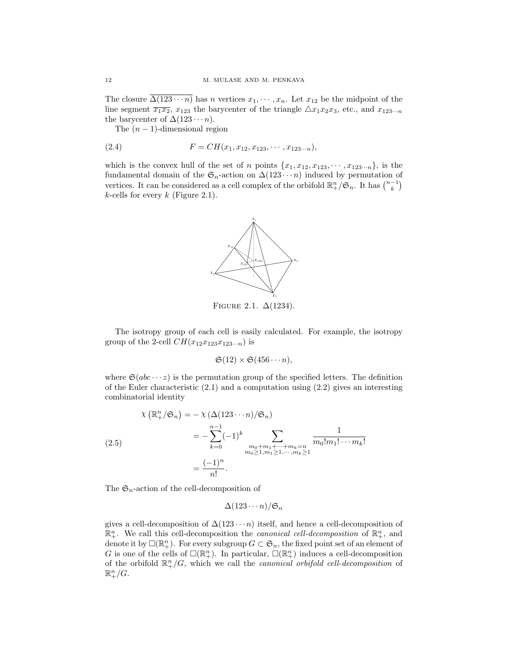The closure  $\Delta(123 \cdots n)$  has n vertices  $x_1, \cdots, x_n$ . Let  $x_{12}$  be the midpoint of the line segment  $\overline{x_1x_2}$ ,  $x_{123}$  the barycenter of the triangle  $\triangle x_1x_2x_3$ , etc., and  $x_{123\cdots n}$ the barycenter of  $\Delta(123 \cdots n)$ .

The  $(n-1)$ -dimensional region

(2.4) 
$$
F = CH(x_1, x_{12}, x_{123}, \cdots, x_{123\cdots n}),
$$

which is the convex hull of the set of n points  $\{x_1, x_{12}, x_{123}, \cdots, x_{123\cdots n}\}$ , is the fundamental domain of the  $\mathfrak{S}_n$ -action on  $\Delta(123 \cdots n)$  induced by permutation of vertices. It can be considered as a cell complex of the orbifold  $\mathbb{R}^n_+/\mathfrak{S}_n$ . It has  $\binom{n-1}{k}$  $k$ -cells for every  $k$  (Figure 2.1).



FIGURE 2.1.  $\Delta(1234)$ .

The isotropy group of each cell is easily calculated. For example, the isotropy group of the 2-cell  $CH(x_{12}x_{123}x_{123\cdots n})$  is

$$
\mathfrak{S}(12) \times \mathfrak{S}(456\cdots n),
$$

where  $\mathfrak{S}(abc \cdots z)$  is the permutation group of the specified letters. The definition of the Euler characteristic (2.1) and a computation using (2.2) gives an interesting combinatorial identity

$$
\chi\left(\mathbb{R}^n_+/\mathfrak{S}_n\right) = -\chi\left(\Delta(123\cdots n)/\mathfrak{S}_n\right)
$$
  
\n
$$
= -\sum_{k=0}^{n-1} (-1)^k \sum_{\substack{m_0+m_1+\cdots+m_k=n\\m_0\geq 1, m_1\geq 1, \cdots, m_k\geq 1}} \frac{1}{m_0! m_1! \cdots m_k!}
$$
  
\n
$$
= \frac{(-1)^n}{n!}.
$$

The  $\mathfrak{S}_n$ -action of the cell-decomposition of

$$
\Delta(123\cdots n)/\mathfrak{S}_n
$$

gives a cell-decomposition of  $\Delta(123 \cdots n)$  itself, and hence a cell-decomposition of  $\mathbb{R}^n_+$ . We call this cell-decomposition the *canonical cell-decomposition* of  $\mathbb{R}^n_+$ , and denote it by  $\square(\mathbb{R}^n_+)$ . For every subgroup  $G \subset \mathfrak{S}_n$ , the fixed point set of an element of G is one of the cells of  $\square(\mathbb{R}^n_+)$ . In particular,  $\square(\mathbb{R}^n_+)$  induces a cell-decomposition of the orbifold  $\mathbb{R}^n_+ / G$ , which we call the *canonical orbifold cell-decomposition* of  $\mathbb{R}^n_+/G$ .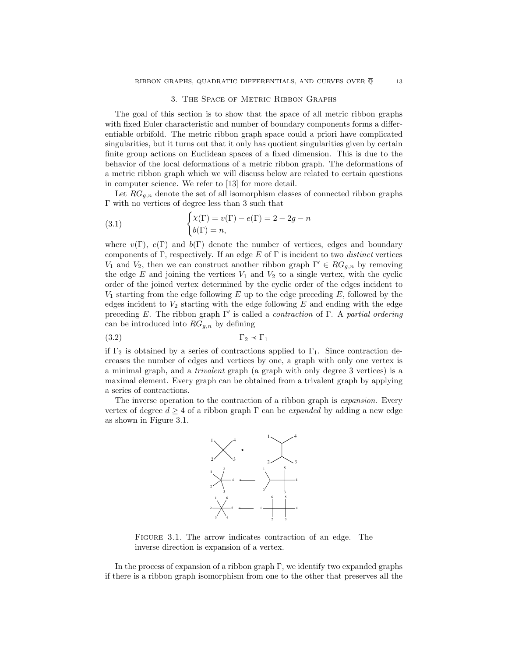### 3. The Space of Metric Ribbon Graphs

The goal of this section is to show that the space of all metric ribbon graphs with fixed Euler characteristic and number of boundary components forms a differentiable orbifold. The metric ribbon graph space could a priori have complicated singularities, but it turns out that it only has quotient singularities given by certain finite group actions on Euclidean spaces of a fixed dimension. This is due to the behavior of the local deformations of a metric ribbon graph. The deformations of a metric ribbon graph which we will discuss below are related to certain questions in computer science. We refer to [13] for more detail.

Let  $RG_{q,n}$  denote the set of all isomorphism classes of connected ribbon graphs Γ with no vertices of degree less than 3 such that

(3.1) 
$$
\begin{cases} \chi(\Gamma) = v(\Gamma) - e(\Gamma) = 2 - 2g - n \\ b(\Gamma) = n, \end{cases}
$$

where  $v(\Gamma)$ ,  $e(\Gamma)$  and  $b(\Gamma)$  denote the number of vertices, edges and boundary components of Γ, respectively. If an edge  $E$  of Γ is incident to two *distinct* vertices  $V_1$  and  $V_2$ , then we can construct another ribbon graph  $\Gamma' \in RG_{q,n}$  by removing the edge  $E$  and joining the vertices  $V_1$  and  $V_2$  to a single vertex, with the cyclic order of the joined vertex determined by the cyclic order of the edges incident to  $V_1$  starting from the edge following E up to the edge preceding E, followed by the edges incident to  $V_2$  starting with the edge following E and ending with the edge preceding E. The ribbon graph  $\Gamma'$  is called a *contraction* of  $\Gamma$ . A *partial ordering* can be introduced into  $RG_{g,n}$  by defining

$$
\Gamma_2 \prec \Gamma_1
$$

if  $\Gamma_2$  is obtained by a series of contractions applied to  $\Gamma_1$ . Since contraction decreases the number of edges and vertices by one, a graph with only one vertex is a minimal graph, and a trivalent graph (a graph with only degree 3 vertices) is a maximal element. Every graph can be obtained from a trivalent graph by applying a series of contractions.

The inverse operation to the contraction of a ribbon graph is *expansion*. Every vertex of degree  $d \geq 4$  of a ribbon graph  $\Gamma$  can be *expanded* by adding a new edge as shown in Figure 3.1.



Figure 3.1. The arrow indicates contraction of an edge. The inverse direction is expansion of a vertex.

In the process of expansion of a ribbon graph  $\Gamma$ , we identify two expanded graphs if there is a ribbon graph isomorphism from one to the other that preserves all the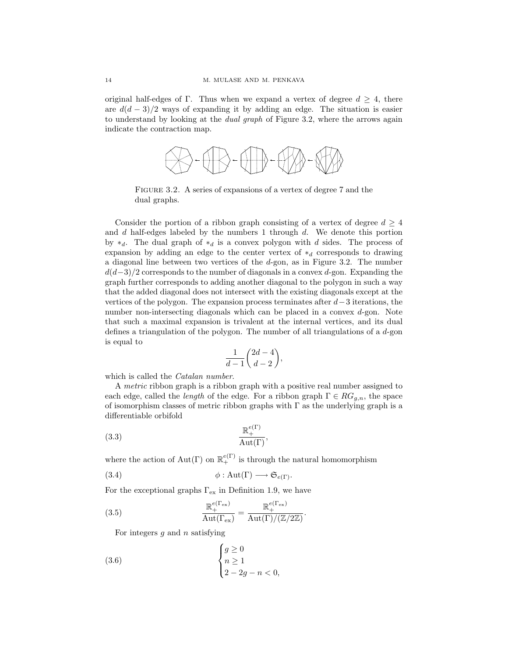original half-edges of Γ. Thus when we expand a vertex of degree  $d \geq 4$ , there are  $d(d-3)/2$  ways of expanding it by adding an edge. The situation is easier to understand by looking at the dual graph of Figure 3.2, where the arrows again indicate the contraction map.



Figure 3.2. A series of expansions of a vertex of degree 7 and the dual graphs.

Consider the portion of a ribbon graph consisting of a vertex of degree  $d \geq 4$ and  $d$  half-edges labeled by the numbers 1 through  $d$ . We denote this portion by  $*_d$ . The dual graph of  $*_d$  is a convex polygon with d sides. The process of expansion by adding an edge to the center vertex of  $*_d$  corresponds to drawing a diagonal line between two vertices of the d-gon, as in Figure 3.2. The number  $d(d-3)/2$  corresponds to the number of diagonals in a convex d-gon. Expanding the graph further corresponds to adding another diagonal to the polygon in such a way that the added diagonal does not intersect with the existing diagonals except at the vertices of the polygon. The expansion process terminates after  $d-3$  iterations, the number non-intersecting diagonals which can be placed in a convex d-gon. Note that such a maximal expansion is trivalent at the internal vertices, and its dual defines a triangulation of the polygon. The number of all triangulations of a d-gon is equal to

$$
\frac{1}{d-1}\binom{2d-4}{d-2},
$$

which is called the *Catalan number*.

A metric ribbon graph is a ribbon graph with a positive real number assigned to each edge, called the *length* of the edge. For a ribbon graph  $\Gamma \in RG_{g,n}$ , the space of isomorphism classes of metric ribbon graphs with  $\Gamma$  as the underlying graph is a differentiable orbifold

$$
\frac{\mathbb{R}^{e(\Gamma)}_+}{\text{Aut}(\Gamma)},
$$

where the action of  $Aut(\Gamma)$  on  $\mathbb{R}^{e(\Gamma)}_+$  is through the natural homomorphism

(3.4) 
$$
\phi: \text{Aut}(\Gamma) \longrightarrow \mathfrak{S}_{e(\Gamma)}.
$$

For the exceptional graphs  $\Gamma_{\text{ex}}$  in Definition 1.9, we have

(3.5) 
$$
\frac{\mathbb{R}_{+}^{e(\Gamma_{\text{ex}})}}{\text{Aut}(\Gamma_{\text{ex}})} = \frac{\mathbb{R}_{+}^{e(\Gamma_{\text{ex}})}}{\text{Aut}(\Gamma)/(\mathbb{Z}/2\mathbb{Z})}.
$$

For integers  $q$  and  $n$  satisfying

(3.6) 
$$
\begin{cases} g \geq 0 \\ n \geq 1 \\ 2 - 2g - n < 0, \end{cases}
$$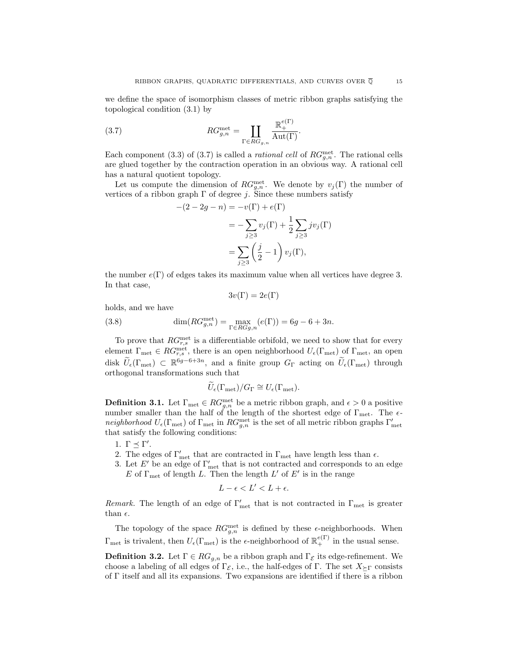we define the space of isomorphism classes of metric ribbon graphs satisfying the topological condition (3.1) by

(3.7) 
$$
RG_{g,n}^{\text{met}} = \coprod_{\Gamma \in RG_{g,n}} \frac{\mathbb{R}_{+}^{e(\Gamma)}}{\text{Aut}(\Gamma)}.
$$

Each component (3.3) of (3.7) is called a *rational cell* of  $RG_{g,n}^{\text{met}}$ . The rational cells are glued together by the contraction operation in an obvious way. A rational cell has a natural quotient topology.

Let us compute the dimension of  $RG_{g,n}^{\text{met}}$ . We denote by  $v_j(\Gamma)$  the number of vertices of a ribbon graph  $\Gamma$  of degree j. Since these numbers satisfy

$$
-(2 - 2g - n) = -v(\Gamma) + e(\Gamma)
$$
  
= 
$$
-\sum_{j\geq 3} v_j(\Gamma) + \frac{1}{2} \sum_{j\geq 3} j v_j(\Gamma)
$$
  
= 
$$
\sum_{j\geq 3} \left(\frac{j}{2} - 1\right) v_j(\Gamma),
$$

the number  $e(\Gamma)$  of edges takes its maximum value when all vertices have degree 3. In that case,

$$
3v(\Gamma) = 2e(\Gamma)
$$

holds, and we have

(3.8) 
$$
\dim(RG_{g,n}^{\text{met}}) = \max_{\Gamma \in RGg,n} (e(\Gamma)) = 6g - 6 + 3n.
$$

To prove that  $RG_{r,s}^{\text{met}}$  is a differentiable orbifold, we need to show that for every element  $\Gamma_{\text{met}} \in RG_{r,s}^{\text{met}}$ , there is an open neighborhood  $U_{\epsilon}(\Gamma_{\text{met}})$  of  $\Gamma_{\text{met}}$ , an open disk  $\tilde{U}_{\epsilon}(\Gamma_{\rm met}) \subset \mathbb{R}^{6g-6+3n}$ , and a finite group  $G_{\Gamma}$  acting on  $\tilde{U}_{\epsilon}(\Gamma_{\rm met})$  through orthogonal transformations such that

$$
\widetilde{U}_{\epsilon}(\Gamma_{\rm met})/G_{\Gamma} \cong U_{\epsilon}(\Gamma_{\rm met}).
$$

**Definition 3.1.** Let  $\Gamma_{\text{met}} \in RG_{g,n}^{\text{met}}$  be a metric ribbon graph, and  $\epsilon > 0$  a positive number smaller than the half of the length of the shortest edge of  $\Gamma_{\rm met}$ . The  $\epsilon$ neighborhood  $U_{\epsilon}(\Gamma_{\text{met}})$  of  $\Gamma_{\text{met}}$  in  $RG_{g,n}^{\text{met}}$  is the set of all metric ribbon graphs  $\Gamma'_{\text{met}}$ that satisfy the following conditions:

- 1.  $\Gamma \preceq \Gamma'$ .
- 2. The edges of  $\Gamma'_{\text{met}}$  that are contracted in  $\Gamma_{\text{met}}$  have length less than  $\epsilon$ .
- 3. Let  $E'$  be an edge of  $\Gamma'_{\text{met}}$  that is not contracted and corresponds to an edge E of  $\Gamma_{\text{met}}$  of length L. Then the length L' of E' is in the range

$$
L - \epsilon < L' < L + \epsilon.
$$

Remark. The length of an edge of  $\Gamma'_{\text{met}}$  that is not contracted in  $\Gamma_{\text{met}}$  is greater than  $\epsilon$ .

The topology of the space  $RG_{g,n}^{\text{met}}$  is defined by these  $\epsilon$ -neighborhoods. When  $\Gamma_{\rm met}$  is trivalent, then  $U_{\epsilon}(\Gamma_{\rm met})$  is the  $\epsilon$ -neighborhood of  $\mathbb{R}_+^{e(\Gamma)}$  in the usual sense.

**Definition 3.2.** Let  $\Gamma \in RG_{g,n}$  be a ribbon graph and  $\Gamma_{\mathcal{E}}$  its edge-refinement. We choose a labeling of all edges of Γε, i.e., the half-edges of Γ. The set  $X_{\succeq \Gamma}$  consists of Γ itself and all its expansions. Two expansions are identified if there is a ribbon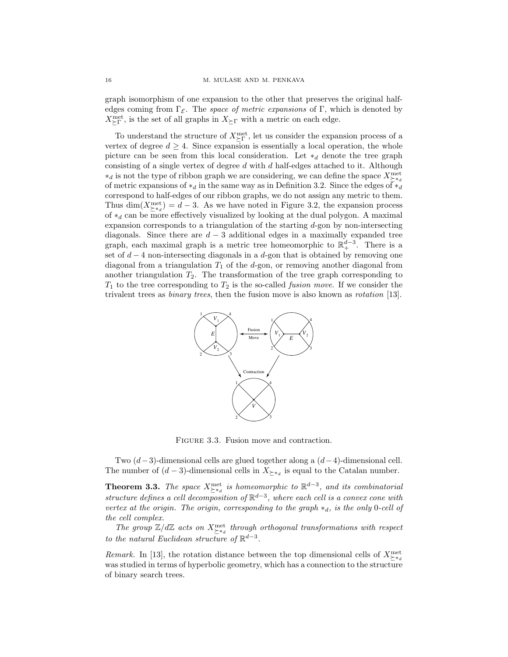graph isomorphism of one expansion to the other that preserves the original halfedges coming from Γε. The space of metric expansions of Γ, which is denoted by  $X_{\succeq \Gamma}^{\rm met},$  is the set of all graphs in  $X_{\succeq \Gamma}$  with a metric on each edge.

To understand the structure of  $X_{\subseteq \Gamma}^{\text{met}}$ , let us consider the expansion process of a vertex of degree  $d \geq 4$ . Since expansion is essentially a local operation, the whole picture can be seen from this local consideration. Let  $*_d$  denote the tree graph consisting of a single vertex of degree  $d$  with  $d$  half-edges attached to it. Although ∗<sup>d</sup> is not the type of ribbon graph we are considering, we can define the space Xmet ∗*d* of metric expansions of  $*_d$  in the same way as in Definition 3.2. Since the edges of  $*_d$ correspond to half-edges of our ribbon graphs, we do not assign any metric to them. Thus  $\dim(X_{\geq a}^{\text{met}}) = d - 3$ . As we have noted in Figure 3.2, the expansion process of  $*_d$  can be more effectively visualized by looking at the dual polygon. A maximal expansion corresponds to a triangulation of the starting d-gon by non-intersecting diagonals. Since there are  $d - 3$  additional edges in a maximally expanded tree graph, each maximal graph is a metric tree homeomorphic to  $\mathbb{R}^{d-3}_+$ . There is a set of  $d-4$  non-intersecting diagonals in a d-gon that is obtained by removing one diagonal from a triangulation  $T_1$  of the d-gon, or removing another diagonal from another triangulation  $T_2$ . The transformation of the tree graph corresponding to  $T_1$  to the tree corresponding to  $T_2$  is the so-called *fusion move*. If we consider the trivalent trees as binary trees, then the fusion move is also known as rotation [13].



FIGURE 3.3. Fusion move and contraction.

Two  $(d-3)$ -dimensional cells are glued together along a  $(d-4)$ -dimensional cell. The number of  $(d-3)$ -dimensional cells in  $X_{\geq *_d}$  is equal to the Catalan number.

**Theorem 3.3.** The space  $X_{\geq *d}^{\text{met}}$  is homeomorphic to  $\mathbb{R}^{d-3}$ , and its combinatorial structure defines a cell decomposition of  $\mathbb{R}^{d-3}$ , where each cell is a convex cone with vertex at the origin. The origin, corresponding to the graph  $*_d$ , is the only 0-cell of the cell complex.

The group  $\mathbb{Z}/d\mathbb{Z}$  acts on  $X_{\geq *d}^{\text{met}}$  through orthogonal transformations with respect to the natural Euclidean structure of  $\mathbb{R}^{d-3}$ .

*Remark.* In [13], the rotation distance between the top dimensional cells of  $X_{\geq *d}^{\text{met}}$ was studied in terms of hyperbolic geometry, which has a connection to the structure of binary search trees.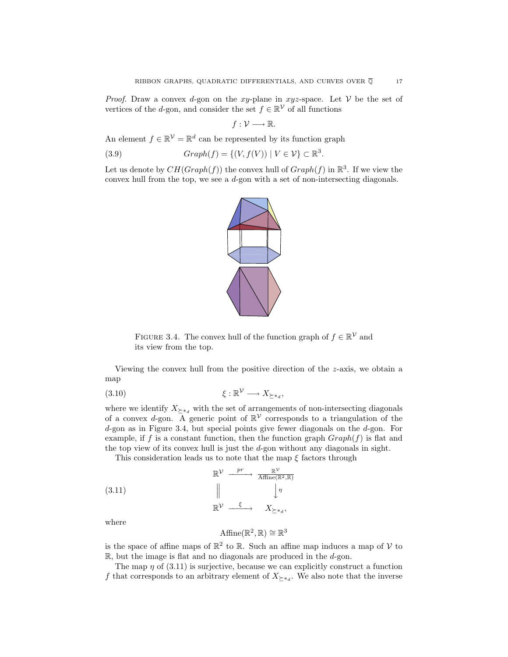*Proof.* Draw a convex d-gon on the xy-plane in xyz-space. Let  $V$  be the set of vertices of the d-gon, and consider the set  $f \in \mathbb{R}^{\mathcal{V}}$  of all functions

$$
f:\mathcal{V}\longrightarrow\mathbb{R}.
$$

An element  $f \in \mathbb{R}^{\mathcal{V}} = \mathbb{R}^d$  can be represented by its function graph

(3.9) 
$$
Graph(f) = \{(V, f(V)) \mid V \in \mathcal{V}\} \subset \mathbb{R}^3.
$$

Let us denote by  $CH(Graph(f))$  the convex hull of  $Graph(f)$  in  $\mathbb{R}^3$ . If we view the convex hull from the top, we see a d-gon with a set of non-intersecting diagonals.



FIGURE 3.4. The convex hull of the function graph of  $f \in \mathbb{R}^{\mathcal{V}}$  and its view from the top.

Viewing the convex hull from the positive direction of the z-axis, we obtain a map

$$
(3.10) \t\t \xi : \mathbb{R}^{\mathcal{V}} \longrightarrow X_{\succeq *_{d}},
$$

where we identify  $X_{\succeq *_{d}}$  with the set of arrangements of non-intersecting diagonals of a convex d-gon. A generic point of  $\mathbb{R}^{\mathcal{V}}$  corresponds to a triangulation of the d-gon as in Figure 3.4, but special points give fewer diagonals on the d-gon. For example, if f is a constant function, then the function graph  $Graph(f)$  is flat and the top view of its convex hull is just the d-gon without any diagonals in sight.

This consideration leads us to note that the map  $\xi$  factors through

(3.11) 
$$
\mathbb{R}^{\mathcal{V}} \xrightarrow{\text{p}r} \frac{\mathbb{R}^{\mathcal{V}}}{\text{Affine}(\mathbb{R}^2, \mathbb{R})}
$$

$$
\parallel \qquad \qquad \downarrow \eta
$$

$$
\mathbb{R}^{\mathcal{V}} \xrightarrow{\xi} X_{\succeq *_{d}},
$$

where

$$
\mathrm{Affine}(\mathbb{R}^2,\mathbb{R})\cong\mathbb{R}^3
$$

is the space of affine maps of  $\mathbb{R}^2$  to  $\mathbb{R}$ . Such an affine map induces a map of V to  $\mathbb{R}$ , but the image is flat and no diagonals are produced in the  $d$ -gon.

The map  $\eta$  of (3.11) is surjective, because we can explicitly construct a function f that corresponds to an arbitrary element of  $X_{\geq *_{d}}$ . We also note that the inverse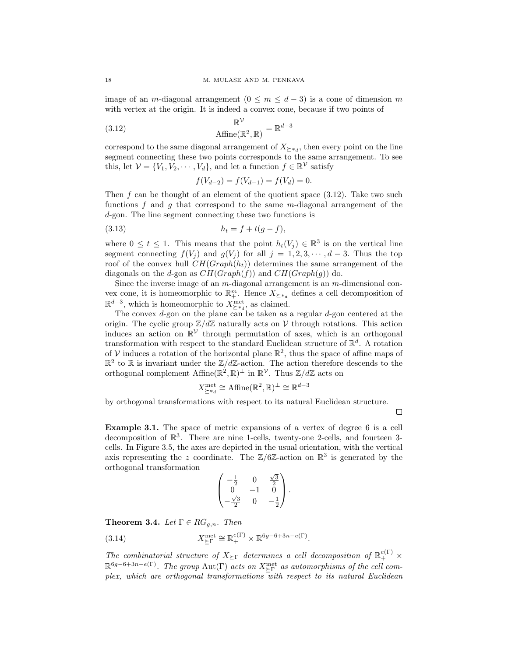image of an m-diagonal arrangement  $(0 \le m \le d-3)$  is a cone of dimension m with vertex at the origin. It is indeed a convex cone, because if two points of

(3.12) 
$$
\frac{\mathbb{R}^{\mathcal{V}}}{\text{Affine}(\mathbb{R}^2, \mathbb{R})} = \mathbb{R}^{d-3}
$$

correspond to the same diagonal arrangement of  $X_{\geq *_{d}}$ , then every point on the line segment connecting these two points corresponds to the same arrangement. To see this, let  $V = \{V_1, V_2, \cdots, V_d\}$ , and let a function  $f \in \mathbb{R}^{\mathcal{V}}$  satisfy

$$
f(V_{d-2}) = f(V_{d-1}) = f(V_d) = 0.
$$

Then f can be thought of an element of the quotient space  $(3.12)$ . Take two such functions  $f$  and  $g$  that correspond to the same m-diagonal arrangement of the d-gon. The line segment connecting these two functions is

(3.13) 
$$
h_t = f + t(g - f),
$$

where  $0 \le t \le 1$ . This means that the point  $h_t(V_j) \in \mathbb{R}^3$  is on the vertical line segment connecting  $f(V_i)$  and  $g(V_j)$  for all  $j = 1, 2, 3, \cdots, d-3$ . Thus the top roof of the convex hull  $CH(Graph(h_t))$  determines the same arrangement of the diagonals on the d-gon as  $CH(Graph(f))$  and  $CH(Graph(g))$  do.

Since the inverse image of an  $m$ -diagonal arrangement is an  $m$ -dimensional convex cone, it is homeomorphic to  $\mathbb{R}^m_+$ . Hence  $X_{\succeq*_d}$  defines a cell decomposition of  $\mathbb{R}^{d-3}$ , which is homeomorphic to  $X_{\geq a}^{\text{met}}$ , as claimed.<br>The convex *d*-gon on the plane can be taken as a regular *d*-gon centered at the

origin. The cyclic group  $\mathbb{Z}/d\mathbb{Z}$  naturally acts on V through rotations. This action induces an action on  $\mathbb{R}^{\mathcal{V}}$  through permutation of axes, which is an orthogonal transformation with respect to the standard Euclidean structure of  $\mathbb{R}^d$ . A rotation of V induces a rotation of the horizontal plane  $\mathbb{R}^2$ , thus the space of affine maps of  $\mathbb{R}^2$  to  $\mathbb R$  is invariant under the  $\mathbb{Z}/d\mathbb{Z}$ -action. The action therefore descends to the orthogonal complement Affine $(\mathbb{R}^2, \mathbb{R})^{\perp}$  in  $\mathbb{R}^{\mathcal{V}}$ . Thus  $\mathbb{Z}/d\mathbb{Z}$  acts on

$$
X_{\geq *_{d}}^{\text{met}} \cong \text{Affine}(\mathbb{R}^{2}, \mathbb{R})^{\perp} \cong \mathbb{R}^{d-3}
$$

by orthogonal transformations with respect to its natural Euclidean structure.

□

**Example 3.1.** The space of metric expansions of a vertex of degree 6 is a cell decomposition of R3. There are nine 1-cells, twenty-one 2-cells, and fourteen 3 cells. In Figure 3.5, the axes are depicted in the usual orientation, with the vertical axis representing the z coordinate. The  $\mathbb{Z}/6\mathbb{Z}$ -action on  $\mathbb{R}^3$  is generated by the orthogonal transformation

$$
\begin{pmatrix} -\frac{1}{2} & 0 & \frac{\sqrt{3}}{2} \\ 0 & -1 & 0 \\ -\frac{\sqrt{3}}{2} & 0 & -\frac{1}{2} \end{pmatrix}.
$$

**Theorem 3.4.** Let  $\Gamma \in RG_{a,n}$ . Then

(3.14) 
$$
X_{\succeq \Gamma}^{\text{met}} \cong \mathbb{R}_+^{e(\Gamma)} \times \mathbb{R}^{6g-6+3n-e(\Gamma)}.
$$

The combinatorial structure of  $X_{\succeq \Gamma}$  determines a cell decomposition of  $\mathbb{R}^{e(\Gamma)}_+$  ×  $\mathbb{R}^{6g-6+3n-e(\Gamma)}$ . The group  $\text{Aut}(\Gamma)$  acts on  $X_{\succeq \Gamma}^{\text{met}}$  as automorphisms of the cell complex, which are orthogonal transformations with respect to its natural Euclidean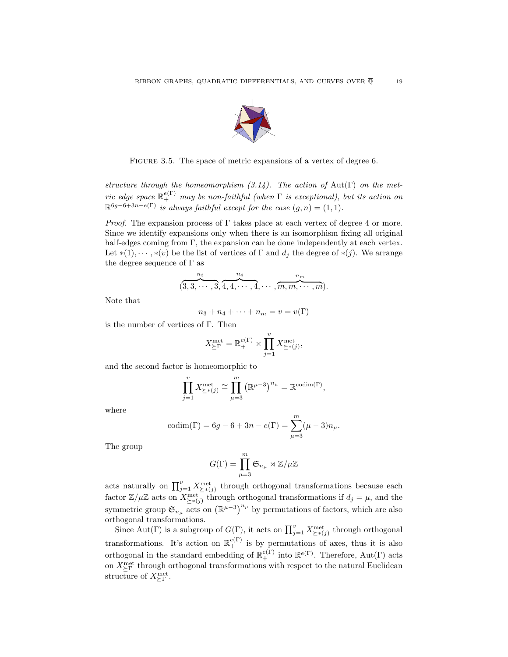

FIGURE 3.5. The space of metric expansions of a vertex of degree 6.

structure through the homeomorphism  $(3.14)$ . The action of Aut(Γ) on the metric edge space  $\mathbb{R}^{e(\Gamma)}_+$  may be non-faithful (when  $\Gamma$  is exceptional), but its action on  $\mathbb{R}^{6g-6+3n-e(\Gamma)}$  is always faithful except for the case  $(g,n)=(1,1)$ .

*Proof.* The expansion process of  $\Gamma$  takes place at each vertex of degree 4 or more. Since we identify expansions only when there is an isomorphism fixing all original half-edges coming from Γ, the expansion can be done independently at each vertex. Let  $*(1), \dots, *(v)$  be the list of vertices of  $\Gamma$  and  $d_i$  the degree of  $*(j)$ . We arrange the degree sequence of  $\Gamma$  as

$$
(3,3,\cdots,3,\underbrace{n_4}_{\{1,4,\cdots,4,\cdots,4,\cdots,m,m,\cdots,m}^{n_m})
$$

Note that

$$
n_3 + n_4 + \dots + n_m = v = v(\Gamma)
$$

is the number of vertices of Γ. Then

$$
X_{\succeq \Gamma}^{\text{met}} = \mathbb{R}_{+}^{e(\Gamma)} \times \prod_{j=1}^{v} X_{\succeq * (j)}^{\text{met}},
$$

and the second factor is homeomorphic to

$$
\prod_{j=1}^{v} X_{\geq * (j)}^{\text{met}} \cong \prod_{\mu=3}^{m} (\mathbb{R}^{\mu-3})^{n_{\mu}} = \mathbb{R}^{\text{codim}(\Gamma)},
$$

where

$$
codim(\Gamma) = 6g - 6 + 3n - e(\Gamma) = \sum_{\mu=3}^{m} (\mu - 3)n_{\mu}.
$$

The group

$$
G(\Gamma)=\prod_{\mu=3}^m\mathfrak{S}_{n_\mu}\rtimes{\mathbb Z}/\mu{\mathbb Z}
$$

acts naturally on  $\prod_{j=1}^{v} X_{\geq*(j)}^{\text{met}}$  through orthogonal transformations because each factor  $\mathbb{Z}/\mu\mathbb{Z}$  acts on  $X_{\geq * (j)}^{\text{met}}$  through orthogonal transformations if  $d_j = \mu$ , and the symmetric group  $\mathfrak{S}_{n_{\mu}}$  acts on  $(\mathbb{R}^{\mu-3})^{n_{\mu}}$  by permutations of factors, which are also orthogonal transformations.

Since Aut(Γ) is a subgroup of  $G(\Gamma)$ , it acts on  $\prod_{j=1}^{v} X_{\succeq*(j)}^{\text{met}}$  through orthogonal transformations. It's action on  $\mathbb{R}^{e(\Gamma)}_+$  is by permutations of axes, thus it is also orthogonal in the standard embedding of  $\mathbb{R}^{e(\Gamma)}_+$  into  $\mathbb{R}^{e(\Gamma)}$ . Therefore, Aut(Γ) acts on  $X_{\succeq\Gamma}^{\rm met}$  through orthogonal transformations with respect to the natural Euclidean structure of  $X_{\succeq \Gamma}^{\text{met}}$ .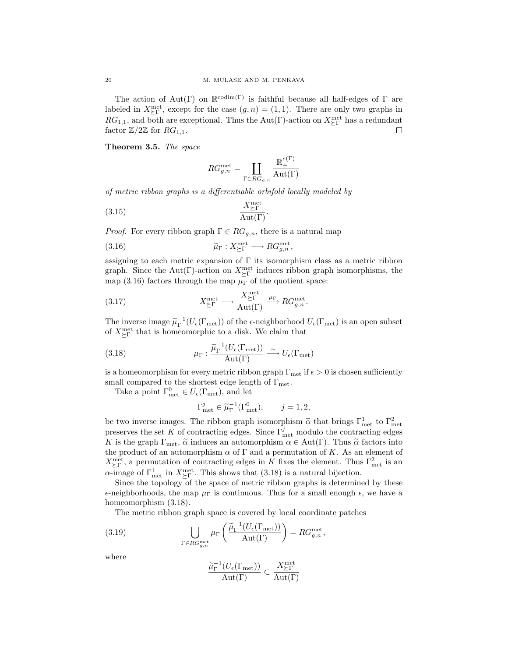The action of Aut(Γ) on  $\mathbb{R}^{\text{codim}(\Gamma)}$  is faithful because all half-edges of Γ are labeled in  $X_{\succeq \Gamma}^{\text{met}}$ , except for the case  $(g,n) = (1,1)$ . There are only two graphs in  $RG_{1,1}$ , and both are exceptional. Thus the Aut(Γ)-action on  $X_{\succeq \Gamma}^{\text{met}}$  has a redundant factor  $\mathbb{Z}/2\mathbb{Z}$  for  $RG_{1,1}$ .

**Theorem3.5.** The space

$$
RG_{g,n}^{\mathrm{met}} = \coprod_{\Gamma \in RG_{g,n}} \frac{\mathbb{R}^{e(\Gamma)}_+}{\mathrm{Aut}(\Gamma)}
$$

of metric ribbon graphs is a differentiable orbifold locally modeled by

$$
\frac{X_{\geq \Gamma}^{\text{met}}}{\text{Aut}(\Gamma)}.
$$

*Proof.* For every ribbon graph  $\Gamma \in RG_{q,n}$ , there is a natural map

(3.16) 
$$
\widetilde{\mu}_{\Gamma}: X^{\text{met}}_{\succeq \Gamma} \longrightarrow RG^{\text{met}}_{g,n},
$$

assigning to each metric expansion of  $\Gamma$  its isomorphism class as a metric ribbon graph. Since the Aut(Γ)-action on  $X_{\succeq \Gamma}^{\text{met}}$  induces ribbon graph isomorphisms, the map (3.16) factors through the map  $\mu_{\Gamma}$  of the quotient space:

(3.17) 
$$
X_{\geq \Gamma}^{\text{met}} \longrightarrow \frac{X_{\geq \Gamma}^{\text{met}}}{\text{Aut}(\Gamma)} \xrightarrow{\mu_{\Gamma}} RG_{g,n}^{\text{met}}.
$$

The inverse image  $\tilde{\mu}_{\Gamma}^{-1}(U_{\epsilon}(\Gamma_{\text{met}}))$  of the  $\epsilon$ -neighborhood  $U_{\epsilon}(\Gamma_{\text{met}})$  is an open subset of  $X^{\text{met}}$  that is homeomorphic to a disk. We claim that of  $X_{\succeq \Gamma}^{\rm met}$  that is homeomorphic to a disk. We claim that

(3.18) 
$$
\mu_{\Gamma}: \frac{\widetilde{\mu}_{\Gamma}^{-1}(U_{\epsilon}(\Gamma_{\text{met}}))}{\mathrm{Aut}(\Gamma)} \xrightarrow{\sim} U_{\epsilon}(\Gamma_{\text{met}})
$$

is a homeomorphism for every metric ribbon graph  $\Gamma_{\text{met}}$  if  $\epsilon > 0$  is chosen sufficiently small compared to the shortest edge length of  $\Gamma_{\rm met}$ .

Take a point  $\Gamma^0_{\text{met}} \in U_{\epsilon}(\Gamma_{\text{met}})$ , and let

$$
\Gamma_{\text{met}}^j \in \widetilde{\mu}_{\Gamma}^{-1}(\Gamma_{\text{met}}^0), \qquad j = 1, 2,
$$

be two inverse images. The ribbon graph isomorphism  $\tilde{\alpha}$  that brings  $\Gamma^1_{\text{net}}$  to  $\Gamma^2_{\text{net}}$ <br>metals of the set K of contracting odges. Since  $\Gamma^j$  are modulo the contracting odges preserves the set K of contracting edges. Since  $\Gamma_{\text{met}}^j$  modulo the contracting edges K is the graph  $\Gamma_{\text{met}}$ ,  $\tilde{\alpha}$  induces an automorphism  $\alpha \in \text{Aut}(\Gamma)$ . Thus  $\tilde{\alpha}$  factors into the product of an automorphism  $\alpha$  of  $\Gamma$  and a permutation of K. As an element of  $X_{\succeq\Gamma}^{\text{met}}$ , a permutation of contracting edges in K fixes the element. Thus  $\Gamma_{\text{met}}^2$  is an  $\alpha$ -image of  $\Gamma^1_{\text{met}}$  in  $X^{\text{met}}_{\succeq \Gamma}$ . This shows that (3.18) is a natural bijection.

Since the topology of the space of metric ribbon graphs is determined by these  $\epsilon$ -neighborhoods, the map  $\mu_{\Gamma}$  is continuous. Thus for a small enough  $\epsilon$ , we have a homeomorphism  $(3.18)$ .

The metric ribbon graph space is covered by local coordinate patches

(3.19) 
$$
\bigcup_{\Gamma \in RG_{g,n}^{\text{met}}} \mu_{\Gamma} \left( \frac{\widetilde{\mu}_{\Gamma}^{-1}(U_{\epsilon}(\Gamma_{\text{met}}))}{\mathrm{Aut}(\Gamma)} \right) = RG_{g,n}^{\text{met}},
$$

where

$$
\frac{\widetilde{\mu}_{\Gamma}^{-1}(U_{\epsilon}(\Gamma_{\mathrm{met}}))}{\mathrm{Aut}(\Gamma)} \subset \frac{X_{\succeq\Gamma}^{\mathrm{met}}}{\mathrm{Aut}(\Gamma)}
$$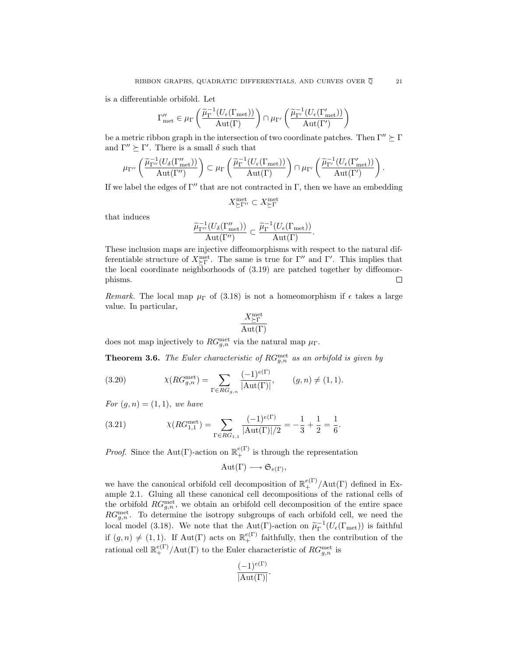is a differentiable orbifold. Let

$$
\Gamma''_{\text{met}} \in \mu_{\Gamma}\left(\frac{\widetilde{\mu}_{\Gamma}^{-1}(U_{\epsilon}(\Gamma_{\text{met}}))}{\mathrm{Aut}(\Gamma)}\right) \cap \mu_{\Gamma'}\left(\frac{\widetilde{\mu}_{\Gamma'}^{-1}(U_{\epsilon}(\Gamma'_{\text{met}}))}{\mathrm{Aut}(\Gamma')}\right)
$$

be a metric ribbon graph in the intersection of two coordinate patches. Then  $\Gamma'' \succeq \Gamma$ and  $\Gamma'' \succeq \Gamma'$ . There is a small  $\delta$  such that

$$
\mu_{\Gamma''}\left(\frac{\widetilde{\mu}_{\Gamma''}^{-1}(U_{\delta}(\Gamma''_{\mathrm{met}}))}{\mathrm{Aut}(\Gamma')}\right) \subset \mu_{\Gamma}\left(\frac{\widetilde{\mu}_{\Gamma}^{-1}(U_{\epsilon}(\Gamma_{\mathrm{met}}))}{\mathrm{Aut}(\Gamma)}\right) \cap \mu_{\Gamma'}\left(\frac{\widetilde{\mu}_{\Gamma'}^{-1}(U_{\epsilon}(\Gamma'_{\mathrm{met}}))}{\mathrm{Aut}(\Gamma')}\right).
$$

If we label the edges of  $\Gamma''$  that are not contracted in  $\Gamma$ , then we have an embedding

$$
X^{\mathrm{met}}_{\succeq \Gamma''}\subset X^{\mathrm{met}}_{\succeq \Gamma}
$$

that induces

$$
\frac{\widetilde{\mu}_{\Gamma''}^{-1}(U_{\delta}(\Gamma''_{\rm met}))}{\mathrm{Aut}(\Gamma'')} \subset \frac{\widetilde{\mu}_{\Gamma}^{-1}(U_{\epsilon}(\Gamma_{\rm met}))}{\mathrm{Aut}(\Gamma)}.
$$

These inclusion maps are injective diffeomorphisms with respect to the natural differentiable structure of  $X_{\vdash \Gamma}^{\text{met}}$ . The same is true for  $\Gamma''$  and  $\Gamma'$ . This implies that the local coordinate neighborhoods of (3.19) are patched together by diffeomorphisms.  $\Box$ 

Remark. The local map  $\mu_{\Gamma}$  of (3.18) is not a homeomorphism if  $\epsilon$  takes a large value. In particular,

$$
\frac{X_{\succeq\Gamma}^{\rm met}}{\rm Aut(\Gamma)}
$$

does not map injectively to  $RG_{g,n}^{\text{met}}$  via the natural map  $\mu_{\Gamma}$ .

**Theorem 3.6.** The Euler characteristic of  $RG_{g,n}^{\text{met}}$  as an orbifold is given by

(3.20) 
$$
\chi(RG_{g,n}^{\text{met}}) = \sum_{\Gamma \in RG_{g,n}} \frac{(-1)^{e(\Gamma)}}{|\text{Aut}(\Gamma)|}, \qquad (g,n) \neq (1,1).
$$

For  $(g, n) = (1, 1)$ , we have

(3.21) 
$$
\chi(RG_{1,1}^{\text{met}}) = \sum_{\Gamma \in RG_{1,1}} \frac{(-1)^{e(\Gamma)}}{|\text{Aut}(\Gamma)|/2} = -\frac{1}{3} + \frac{1}{2} = \frac{1}{6}.
$$

*Proof.* Since the Aut(Γ)-action on  $\mathbb{R}^{e(\Gamma)}_+$  is through the representation

$$
Aut(\Gamma) \longrightarrow \mathfrak{S}_{e(\Gamma)},
$$

we have the canonical orbifold cell decomposition of  $\mathbb{R}^{e(\Gamma)}$  /Aut(Γ) defined in Example 2.1. Gluing all these canonical cell decompositions of the rational cells of the orbifold  $RG_{g,n}^{\text{met}}$ , we obtain an orbifold cell decomposition of the entire space  $RG_{g,n}^{\text{met}}$ . To determine the isotropy subgroups of each orbifold cell, we need the local model (3.18). We note that the Aut(Γ)-action on  $\tilde{\mu}_{\Gamma}^{-1}(U_{\epsilon}(\Gamma_{\text{met}}))$  is faithful<br>if  $(U_{\epsilon}(1,1), V_{\epsilon}^{\epsilon}A_{\epsilon}(T))$ if  $(g, n) \neq (1, 1)$ . If Aut(Γ) acts on  $\mathbb{R}^{e(\Gamma)}_+$  faithfully, then the contribution of the rational cell  $\mathbb{R}^{e(\Gamma)}_+/\text{Aut}(\Gamma)$  to the Euler characteristic of  $RG_{g,n}^{\text{met}}$  is

$$
\frac{(-1)^{e(\Gamma)}}{|Aut(\Gamma)|}.
$$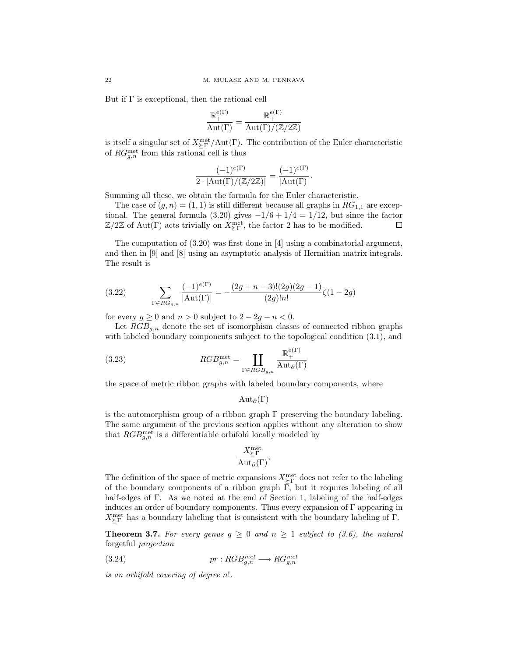But if  $\Gamma$  is exceptional, then the rational cell

$$
\frac{\mathbb{R}_+^{e(\Gamma)}}{\mathrm{Aut}(\Gamma)} = \frac{\mathbb{R}_+^{e(\Gamma)}}{\mathrm{Aut}(\Gamma)/(\mathbb{Z}/2\mathbb{Z})}
$$

is itself a singular set of  $X_{\succeq \Gamma}^{\text{met}}/Aut(\Gamma)$ . The contribution of the Euler characteristic of  $RG_{g,n}^{\text{met}}$  from this rational cell is thus

$$
\frac{(-1)^{e(\Gamma)}}{2 \cdot |\mathrm{Aut}(\Gamma)/(\mathbb{Z}/2\mathbb{Z})|} = \frac{(-1)^{e(\Gamma)}}{|\mathrm{Aut}(\Gamma)|}.
$$

Summing all these, we obtain the formula for the Euler characteristic.

The case of  $(g, n) = (1, 1)$  is still different because all graphs in  $RG_{1,1}$  are exceptional. The general formula (3.20) gives  $-1/6+1/4=1/12$ , but since the factor  $\mathbb{Z}/2\mathbb{Z}$  of Aut(Γ) acts trivially on  $X^{\text{met}}_{\succeq \Gamma}$ , the factor 2 has to be modified. □

The computation of  $(3.20)$  was first done in [4] using a combinatorial argument, and then in [9] and [8] using an asymptotic analysis of Hermitian matrix integrals. The result is

(3.22) 
$$
\sum_{\Gamma \in RG_{g,n}} \frac{(-1)^{e(\Gamma)}}{|\text{Aut}(\Gamma)|} = -\frac{(2g+n-3)!(2g)(2g-1)}{(2g)!n!} \zeta(1-2g)
$$

for every  $q \geq 0$  and  $n > 0$  subject to  $2 - 2q - n < 0$ .

Let  $RGB_{q,n}$  denote the set of isomorphism classes of connected ribbon graphs with labeled boundary components subject to the topological condition  $(3.1)$ , and

(3.23) 
$$
RGB_{g,n}^{\text{met}} = \coprod_{\Gamma \in RGB_{g,n}} \frac{\mathbb{R}^{e(\Gamma)}_+}{\text{Aut}_{\partial}(\Gamma)}
$$

the space of metric ribbon graphs with labeled boundary components, where

$$
\mathrm{Aut}_{\partial}(\Gamma)
$$

is the automorphism group of a ribbon graph  $\Gamma$  preserving the boundary labeling. The same argument of the previous section applies without any alteration to show that  $RGB_{g,n}^{\text{met}}$  is a differentiable orbifold locally modeled by

$$
\frac{X_{\succeq\Gamma}^{\rm met}}{{\rm Aut}_{\partial}(\Gamma)}.
$$

The definition of the space of metric expansions  $X_{\succeq \Gamma}^{\text{met}}$  does not refer to the labeling of the boundary components of a ribbon graph  $\overline{\Gamma}$ , but it requires labeling of all half-edges of Γ. As we noted at the end of Section 1, labeling of the half-edges induces an order of boundary components. Thus every expansion of  $\Gamma$  appearing in  $X_{\succeq \Gamma}^{\rm met}$  has a boundary labeling that is consistent with the boundary labeling of  $\Gamma.$ 

**Theorem 3.7.** For every genus  $g \ge 0$  and  $n \ge 1$  subject to (3.6), the natural forgetful projection

(3.24) 
$$
pr:RGB_{g,n}^{met} \longrightarrow RG_{g,n}^{met}
$$

is an orbifold covering of degree n!.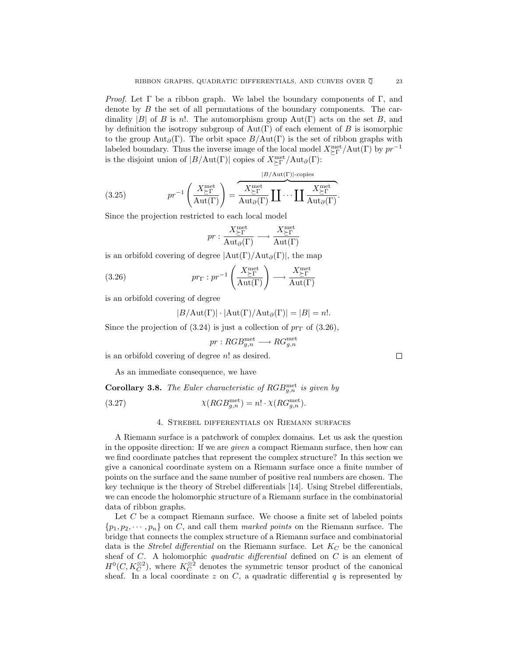*Proof.* Let  $\Gamma$  be a ribbon graph. We label the boundary components of  $\Gamma$ , and denote by B the set of all permutations of the boundary components. The cardinality |B| of B is n!. The automorphism group  $Aut(\Gamma)$  acts on the set B, and by definition the isotropy subgroup of  $Aut(\Gamma)$  of each element of B is isomorphic to the group  $\text{Aut}_{\partial}(\Gamma)$ . The orbit space  $B/\text{Aut}(\Gamma)$  is the set of ribbon graphs with labeled boundary. Thus the inverse image of the local model  $X_{\text{P}}^{\text{met}}/\text{Aut}(\Gamma)$  by  $pr^{-1}$ is the disjoint union of  $|B/\text{Aut}(\Gamma)|$  copies of  $X^{\text{met}}_{\succeq \Gamma}/\text{Aut}_{\partial}(\Gamma)$ :

 $\overline{B}(t)$  -cont

(3.25) 
$$
pr^{-1}\left(\frac{X_{\Sigma\Gamma}^{\text{met}}}{\text{Aut}(\Gamma)}\right) = \overbrace{\frac{X_{\Sigma\Gamma}^{\text{met}}}{\text{Aut}_{\partial}(\Gamma)}}^{\text{H/Aut}(\Gamma)} \prod \cdots \prod \frac{X_{\Sigma\Gamma}^{\text{met}}}{\text{Aut}_{\partial}(\Gamma)}.
$$

Since the projection restricted to each local model

$$
pr: \frac{X^{\text{met}}_{\succeq \Gamma}}{\mathrm{Aut}_\partial(\Gamma)} \longrightarrow \frac{X^{\text{met}}_{\succeq \Gamma}}{\mathrm{Aut}(\Gamma)}
$$

is an orbifold covering of degree  $|Aut(\Gamma)/Aut_{\partial}(\Gamma)|$ , the map

(3.26) 
$$
pr_{\Gamma}: pr^{-1}\left(\frac{X_{\Sigma\Gamma}^{\text{met}}}{\text{Aut}(\Gamma)}\right) \longrightarrow \frac{X_{\Sigma\Gamma}^{\text{met}}}{\text{Aut}(\Gamma)}
$$

is an orbifold covering of degree

$$
|B/\mathrm{Aut}(\Gamma)|\cdot|\mathrm{Aut}(\Gamma)/\mathrm{Aut}_{\partial}(\Gamma)|=|B|=n!.
$$

Since the projection of (3.24) is just a collection of  $pr_{\Gamma}$  of (3.26),

$$
pr:RGB_{g,n}^{\text{met}} \longrightarrow RG_{g,n}^{\text{met}}
$$

is an orbifold covering of degree  $n!$  as desired.

As an immediate consequence, we have

**Corollary 3.8.** The Euler characteristic of  $RGB_{g,n}^{\text{met}}$  is given by

(3.27) 
$$
\chi(RGB_{g,n}^{\text{met}}) = n! \cdot \chi(RG_{g,n}^{\text{met}}).
$$

#### 4. Strebel differentials on Riemann surfaces

A Riemann surface is a patchwork of complex domains. Let us ask the question in the opposite direction: If we are given a compact Riemann surface, then how can we find coordinate patches that represent the complex structure? In this section we give a canonical coordinate system on a Riemann surface once a finite number of points on the surface and the same number of positive real numbers are chosen. The key technique is the theory of Strebel differentials [14]. Using Strebel differentials, we can encode the holomorphic structure of a Riemann surface in the combinatorial data of ribbon graphs.

Let  $C$  be a compact Riemann surface. We choose a finite set of labeled points  $\{p_1, p_2, \dots, p_n\}$  on C, and call them marked points on the Riemann surface. The bridge that connects the complex structure of a Riemann surface and combinatorial data is the *Strebel differential* on the Riemann surface. Let  $K_C$  be the canonical sheaf of  $C$ . A holomorphic *quadratic differential* defined on  $C$  is an element of  $H^0(C, K_C^{\otimes 2})$ , where  $K_C^{\otimes 2}$  denotes the symmetric tensor product of the canonical sheaf. In a local coordinate z on  $C$ , a quadratic differential  $q$  is represented by

 $\Box$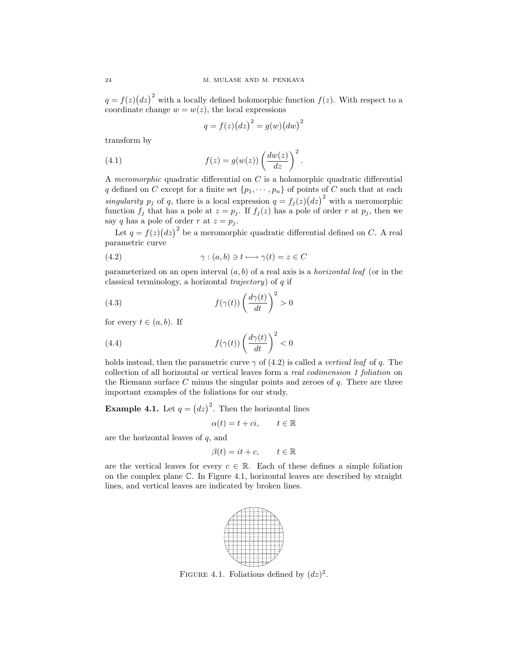$q = f(z)(dz)^2$  with a locally defined holomorphic function  $f(z)$ . With respect to a coordinate change  $w = w(z)$ , the local expressions

$$
q = f(z) (dz)^2 = g(w) (dw)^2
$$

transform by

(4.1) 
$$
f(z) = g(w(z)) \left(\frac{dw(z)}{dz}\right)^2.
$$

A meromorphic quadratic differential on C is a holomorphic quadratic differential q defined on C except for a finite set  $\{p_1, \dots, p_n\}$  of points of C such that at each singularity  $p_j$  of q, there is a local expression  $q = f_j(z)(dz)^2$  with a meromorphic function  $f_j$  that has a pole at  $z = p_j$ . If  $f_j(z)$  has a pole of order r at  $p_j$ , then we say q has a pole of order r at  $z = p_i$ .

Let  $q = f(z)(dz)^2$  be a meromorphic quadratic differential defined on C. A real parametric curve

(4.2) 
$$
\gamma : (a, b) \ni t \longmapsto \gamma(t) = z \in C
$$

parameterized on an open interval  $(a, b)$  of a real axis is a *horizontal leaf* (or in the classical terminology, a horizontal *trajectory*) of  $q$  if

(4.3) 
$$
f(\gamma(t)) \left(\frac{d\gamma(t)}{dt}\right)^2 > 0
$$

for every  $t \in (a, b)$ . If

(4.4) 
$$
f(\gamma(t)) \left(\frac{d\gamma(t)}{dt}\right)^2 < 0
$$

holds instead, then the parametric curve  $\gamma$  of (4.2) is called a *vertical leaf* of q. The collection of all horizontal or vertical leaves form a real codimension 1 foliation on the Riemann surface  $C$  minus the singular points and zeroes of  $q$ . There are three important examples of the foliations for our study.

**Example 4.1.** Let  $q = (dz)^2$ . Then the horizontal lines

 $\alpha(t) = t + ci, \qquad t \in \mathbb{R}$ 

are the horizontal leaves of  $q$ , and

$$
\beta(t) = it + c, \qquad t \in \mathbb{R}
$$

are the vertical leaves for every  $c \in \mathbb{R}$ . Each of these defines a simple foliation on the complex plane C. In Figure 4.1, horizontal leaves are described by straight lines, and vertical leaves are indicated by broken lines.



FIGURE 4.1. Foliations defined by  $(dz)^2$ .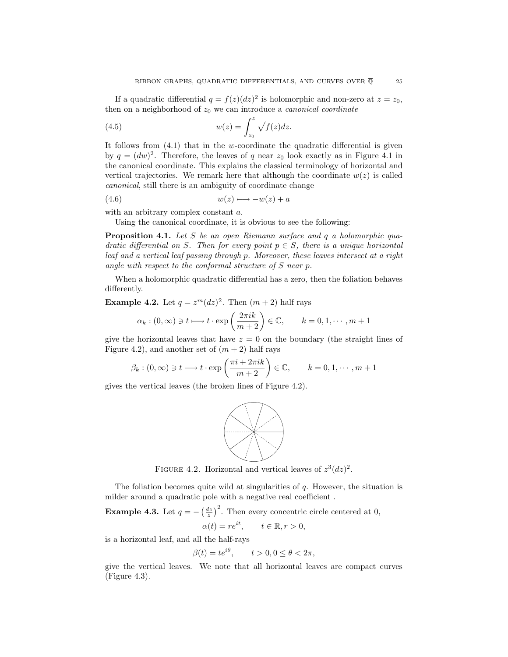If a quadratic differential  $q = f(z)(dz)^2$  is holomorphic and non-zero at  $z = z_0$ , then on a neighborhood of  $z_0$  we can introduce a *canonical coordinate* 

(4.5) 
$$
w(z) = \int_{z_0}^{z} \sqrt{f(z)} dz.
$$

It follows from  $(4.1)$  that in the w-coordinate the quadratic differential is given by  $q = (dw)^2$ . Therefore, the leaves of q near  $z_0$  look exactly as in Figure 4.1 in the canonical coordinate. This explains the classical terminology of horizontal and vertical trajectories. We remark here that although the coordinate  $w(z)$  is called canonical, still there is an ambiguity of coordinate change

$$
(4.6) \t\t\t w(z) \longmapsto -w(z) + a
$$

with an arbitrary complex constant a.

Using the canonical coordinate, it is obvious to see the following:

**Proposition 4.1.** Let S be an open Riemann surface and q a holomorphic quadratic differential on S. Then for every point  $p \in S$ , there is a unique horizontal leaf and a vertical leaf passing through p. Moreover, these leaves intersect at a right angle with respect to the conformal structure of S near p.

When a holomorphic quadratic differential has a zero, then the foliation behaves differently.

**Example 4.2.** Let  $q = z^m (dz)^2$ . Then  $(m + 2)$  half rays

$$
\alpha_k : (0, \infty) \ni t \longmapsto t \cdot \exp\left(\frac{2\pi i k}{m+2}\right) \in \mathbb{C}, \qquad k = 0, 1, \cdots, m+1
$$

give the horizontal leaves that have  $z = 0$  on the boundary (the straight lines of Figure 4.2), and another set of  $(m + 2)$  half rays

$$
\beta_k : (0, \infty) \ni t \longmapsto t \cdot \exp\left(\frac{\pi i + 2\pi i k}{m+2}\right) \in \mathbb{C}, \qquad k = 0, 1, \cdots, m+1
$$

gives the vertical leaves (the broken lines of Figure 4.2).



FIGURE 4.2. Horizontal and vertical leaves of  $z^3(dz)^2$ .

The foliation becomes quite wild at singularities of  $q$ . However, the situation is milder around a quadratic pole with a negative real coefficient .

**Example 4.3.** Let  $q = -\left(\frac{dz}{z}\right)^2$ . Then every concentric circle centered at 0,

$$
\alpha(t) = re^{it}, \qquad t \in \mathbb{R}, r > 0,
$$

is a horizontal leaf, and all the half-rays

$$
\beta(t) = te^{i\theta}, \qquad t > 0, 0 \le \theta < 2\pi,
$$

give the vertical leaves. We note that all horizontal leaves are compact curves (Figure 4.3).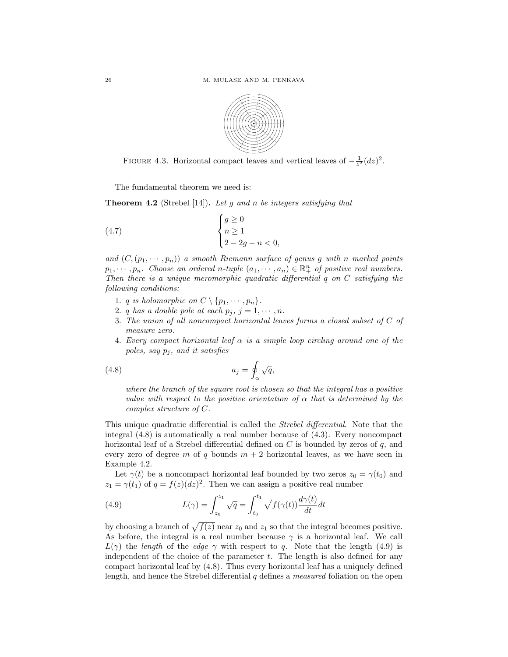

FIGURE 4.3. Horizontal compact leaves and vertical leaves of  $-\frac{1}{z^2}(dz)^2$ .

The fundamental theorem we need is:

**Theorem 4.2** (Strebel [14]). Let g and n be integers satisfying that

$$
\begin{cases}\n g \ge 0 \\
 n \ge 1 \\
 2 - 2g - n < 0,\n\end{cases}
$$

and  $(C,(p_1,\dots,p_n))$  a smooth Riemann surface of genus g with n marked points  $p_1, \dots, p_n$ . Choose an ordered n-tuple  $(a_1, \dots, a_n) \in \mathbb{R}^n_+$  of positive real numbers. Then there is a unique meromorphic quadratic differential q on  $C$  satisfying the following conditions:

- 1. *q is holomorphic on*  $C \setminus \{p_1, \dots, p_n\}.$
- 2. q has a double pole at each  $p_j$ ,  $j = 1, \dots, n$ .
- 3. The union of all noncompact horizontal leaves forms a closed subset of C of measure zero.
- 4. Every compact horizontal leaf  $\alpha$  is a simple loop circling around one of the poles, say  $p_j$ , and it satisfies

(4.8) 
$$
a_j = \oint_{\alpha} \sqrt{q},
$$

where the branch of the square root is chosen so that the integral has a positive value with respect to the positive orientation of  $\alpha$  that is determined by the complex structure of C.

This unique quadratic differential is called the Strebel differential. Note that the integral (4.8) is automatically a real number because of (4.3). Every noncompact horizontal leaf of a Strebel differential defined on  $C$  is bounded by zeros of  $q$ , and every zero of degree m of q bounds  $m + 2$  horizontal leaves, as we have seen in Example 4.2.

Let  $\gamma(t)$  be a noncompact horizontal leaf bounded by two zeros  $z_0 = \gamma(t_0)$  and  $z_1 = \gamma(t_1)$  of  $q = f(z)(dz)^2$ . Then we can assign a positive real number

(4.9) 
$$
L(\gamma) = \int_{z_0}^{z_1} \sqrt{q} = \int_{t_0}^{t_1} \sqrt{f(\gamma(t))} \frac{d\gamma(t)}{dt} dt
$$

by choosing a branch of  $\sqrt{f(z)}$  near  $z_0$  and  $z_1$  so that the integral becomes positive. As before, the integral is a real number because  $\gamma$  is a horizontal leaf. We call  $L(\gamma)$  the length of the edge  $\gamma$  with respect to q. Note that the length (4.9) is independent of the choice of the parameter  $t$ . The length is also defined for any compact horizontal leaf by (4.8). Thus every horizontal leaf has a uniquely defined length, and hence the Strebel differential q defines a *measured* foliation on the open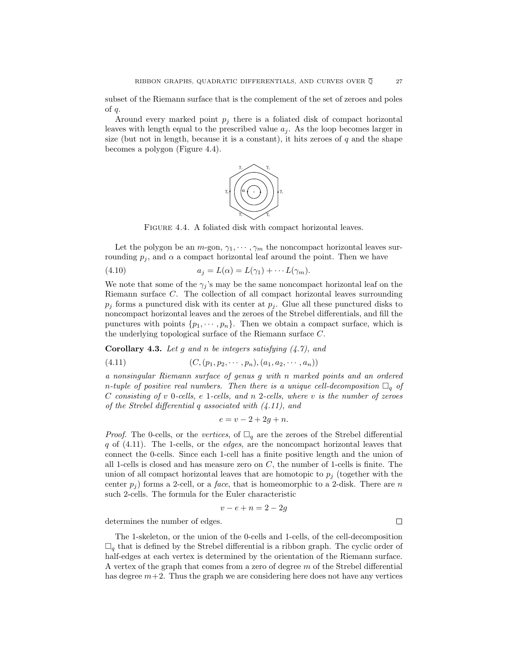subset of the Riemann surface that is the complement of the set of zeroes and poles of  $q$ .

Around every marked point  $p_i$  there is a foliated disk of compact horizontal leaves with length equal to the prescribed value  $a_j$ . As the loop becomes larger in size (but not in length, because it is a constant), it hits zeroes of  $q$  and the shape becomes a polygon (Figure 4.4).



FIGURE 4.4. A foliated disk with compact horizontal leaves.

Let the polygon be an  $m$ -gon,  $\gamma_1, \cdots, \gamma_m$  the noncompact horizontal leaves surrounding  $p_j$ , and  $\alpha$  a compact horizontal leaf around the point. Then we have

(4.10) 
$$
a_j = L(\alpha) = L(\gamma_1) + \cdots L(\gamma_m).
$$

We note that some of the  $\gamma_i$ 's may be the same noncompact horizontal leaf on the Riemann surface C. The collection of all compact horizontal leaves surrounding  $p_j$  forms a punctured disk with its center at  $p_j$ . Glue all these punctured disks to noncompact horizontal leaves and the zeroes of the Strebel differentials, and fill the punctures with points  $\{p_1, \dots, p_n\}$ . Then we obtain a compact surface, which is the underlying topological surface of the Riemann surface C.

**Corollary 4.3.** Let g and n be integers satisfying (4.7), and

$$
(4.11) \qquad (C, (p_1, p_2, \cdots, p_n), (a_1, a_2, \cdots, a_n))
$$

a nonsingular Riemann surface of genus g with n marked points and an ordered n-tuple of positive real numbers. Then there is a unique cell-decomposition  $\Box_q$  of C consisting of v 0-cells, e 1-cells, and n 2-cells, where v is the number of zeroes of the Strebel differential q associated with (4.11), and

$$
e=v-2+2g+n.
$$

*Proof.* The 0-cells, or the vertices, of  $\Box_q$  are the zeroes of the Strebel differential  $q$  of  $(4.11)$ . The 1-cells, or the *edges*, are the noncompact horizontal leaves that connect the 0-cells. Since each 1-cell has a finite positive length and the union of all 1-cells is closed and has measure zero on  $C$ , the number of 1-cells is finite. The union of all compact horizontal leaves that are homotopic to  $p_j$  (together with the center  $p_i$ ) forms a 2-cell, or a *face*, that is homeomorphic to a 2-disk. There are n such 2-cells. The formula for the Euler characteristic

$$
v - e + n = 2 - 2g
$$

determines the number of edges.

The 1-skeleton, or the union of the 0-cells and 1-cells, of the cell-decomposition  $\Box_q$  that is defined by the Strebel differential is a ribbon graph. The cyclic order of half-edges at each vertex is determined by the orientation of the Riemann surface. A vertex of the graph that comes from a zero of degree m of the Strebel differential has degree  $m+2$ . Thus the graph we are considering here does not have any vertices

 $\Box$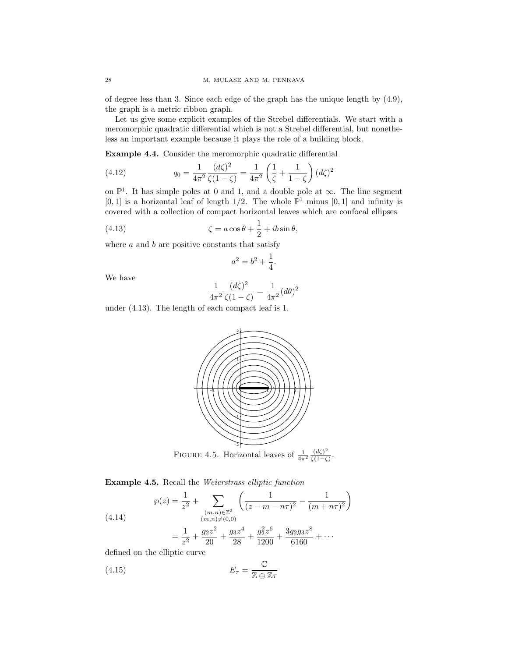of degree less than 3. Since each edge of the graph has the unique length by (4.9), the graph is a metric ribbon graph.

Let us give some explicit examples of the Strebel differentials. We start with a meromorphic quadratic differential which is not a Strebel differential, but nonetheless an important example because it plays the role of a building block.

**Example 4.4.** Consider the meromorphic quadratic differential

(4.12) 
$$
q_0 = \frac{1}{4\pi^2} \frac{(d\zeta)^2}{\zeta(1-\zeta)} = \frac{1}{4\pi^2} \left(\frac{1}{\zeta} + \frac{1}{1-\zeta}\right) (d\zeta)^2
$$

on  $\mathbb{P}^1$ . It has simple poles at 0 and 1, and a double pole at  $\infty$ . The line segment [0, 1] is a horizontal leaf of length  $1/2$ . The whole  $\mathbb{P}^1$  minus [0, 1] and infinity is covered with a collection of compact horizontal leaves which are confocal ellipses

(4.13) 
$$
\zeta = a\cos\theta + \frac{1}{2} + ib\sin\theta,
$$

where  $a$  and  $b$  are positive constants that satisfy

$$
a^2 = b^2 + \frac{1}{4}.
$$

We have

$$
\frac{1}{4\pi^2} \frac{(d\zeta)^2}{\zeta(1-\zeta)} = \frac{1}{4\pi^2} (d\theta)^2
$$

under (4.13). The length of each compact leaf is 1.



**Example 4.5.** Recall the Weierstrass elliptic function

$$
\wp(z) = \frac{1}{z^2} + \sum_{\substack{(m,n)\in\mathbb{Z}^2\\(m,n)\neq(0,0)}} \left(\frac{1}{(z-m-n\tau)^2} - \frac{1}{(m+n\tau)^2}\right)
$$

$$
= \frac{1}{z^2} + \frac{g_2 z^2}{20} + \frac{g_3 z^4}{28} + \frac{g_2^2 z^6}{1200} + \frac{3g_2 g_3 z^8}{6160} + \cdots
$$

defined on the elliptic curve

$$
E_{\tau} = \frac{\mathbb{C}}{\mathbb{Z} \oplus \mathbb{Z} \tau}
$$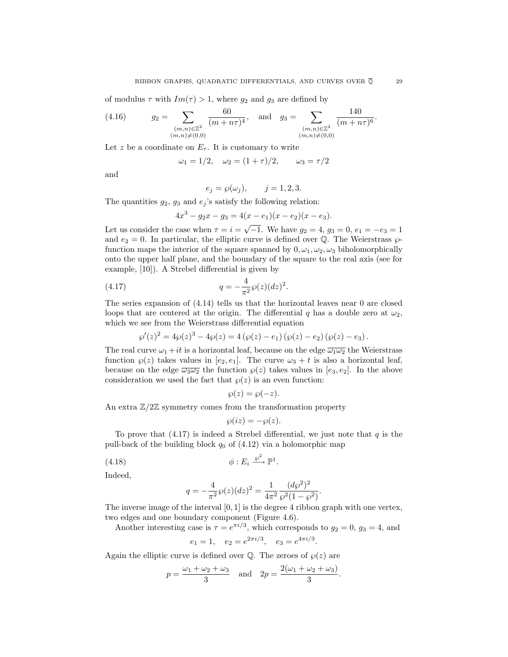of modulus  $\tau$  with  $Im(\tau) > 1$ , where  $g_2$  and  $g_3$  are defined by

(4.16) 
$$
g_2 = \sum_{\substack{(m,n)\in\mathbb{Z}^2\\(m,n)\neq(0,0)}} \frac{60}{(m+n\tau)^4}, \text{ and } g_3 = \sum_{\substack{(m,n)\in\mathbb{Z}^2\\(m,n)\neq(0,0)}} \frac{140}{(m+n\tau)^6}.
$$

Let z be a coordinate on  $E_{\tau}$ . It is customary to write

$$
\omega_1 = 1/2, \quad \omega_2 = (1 + \tau)/2, \qquad \omega_3 = \tau/2
$$

and

$$
e_j = \wp(\omega_j), \qquad j = 1, 2, 3.
$$

The quantities  $g_2$ ,  $g_3$  and  $e_j$ 's satisfy the following relation:

$$
4x^3 - g_2x - g_3 = 4(x - e_1)(x - e_2)(x - e_3).
$$

Let us consider the case when  $\tau = i = \sqrt{-1}$ . We have  $g_2 = 4$ ,  $g_3 = 0$ ,  $e_1 = -e_3 = 1$ and  $e_2 = 0$ . In particular, the elliptic curve is defined over Q. The Weierstrass  $\wp$ function maps the interior of the square spanned by  $0, \omega_1, \omega_2, \omega_3$  biholomorphically onto the upper half plane, and the boundary of the square to the real axis (see for example, [10]). A Strebel differential is given by

(4.17) 
$$
q = -\frac{4}{\pi^2} \wp(z) (dz)^2.
$$

The series expansion of (4.14) tells us that the horizontal leaves near 0 are closed loops that are centered at the origin. The differential q has a double zero at  $\omega_2$ , which we see from the Weierstrass differential equation

$$
\wp'(z)^{2} = 4\wp(z)^{3} - 4\wp(z) = 4(\wp(z) - e_{1})(\wp(z) - e_{2})(\wp(z) - e_{3}).
$$

The real curve  $\omega_1 + it$  is a horizontal leaf, because on the edge  $\overline{\omega_1 \omega_2}$  the Weierstrass function  $\varphi(z)$  takes values in  $[e_2, e_1]$ . The curve  $\omega_3 + t$  is also a horizontal leaf, because on the edge  $\overline{\omega_3 \omega_2}$  the function  $\wp(z)$  takes values in  $[e_3, e_2]$ . In the above consideration we used the fact that  $\wp(z)$  is an even function:

$$
\wp(z) = \wp(-z).
$$

An extra  $\mathbb{Z}/2\mathbb{Z}$  symmetry comes from the transformation property

$$
\wp(iz) = -\wp(z).
$$

To prove that  $(4.17)$  is indeed a Strebel differential, we just note that q is the pull-back of the building block  $q_0$  of (4.12) via a holomorphic map

$$
\phi: E_i \xrightarrow{\wp^2} \mathbb{P}^1.
$$

Indeed,

$$
q = -\frac{4}{\pi^2} \wp(z) (dz)^2 = \frac{1}{4\pi^2} \frac{(d\wp^2)^2}{\wp^2 (1 - \wp^2)}.
$$

The inverse image of the interval  $[0, 1]$  is the degree 4 ribbon graph with one vertex, two edges and one boundary component (Figure 4.6).

Another interesting case is  $\tau = e^{\pi i/3}$ , which corresponds to  $g_2 = 0$ ,  $g_3 = 4$ , and

$$
e_1 = 1
$$
,  $e_2 = e^{2\pi i/3}$ ,  $e_3 = e^{4\pi i/3}$ .

Again the elliptic curve is defined over  $\mathbb{Q}$ . The zeroes of  $\wp(z)$  are

$$
p = \frac{\omega_1 + \omega_2 + \omega_3}{3}
$$
 and  $2p = \frac{2(\omega_1 + \omega_2 + \omega_3)}{3}$ .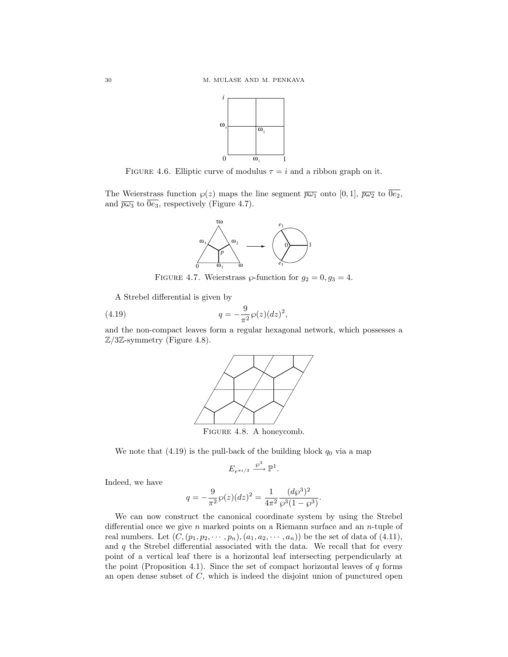

FIGURE 4.6. Elliptic curve of modulus  $\tau = i$  and a ribbon graph on it.

The Weierstrass function  $\varphi(z)$  maps the line segment  $\overline{p\omega_1}$  onto  $[0,1]$ ,  $\overline{p\omega_2}$  to  $\overline{0e_2}$ , and  $\overline{p\omega_3}$  to  $\overline{0e_3}$ , respectively (Figure 4.7).



FIGURE 4.7. Weierstrass  $\wp$ -function for  $g_2 = 0, g_3 = 4$ .

A Strebel differential is given by

(4.19) 
$$
q = -\frac{9}{\pi^2} \wp(z) (dz)^2,
$$

and the non-compact leaves form a regular hexagonal network, which possesses a  $\mathbb{Z}/3\mathbb{Z}$ -symmetry (Figure 4.8).



Figure 4.8. A honeycomb.

We note that  $(4.19)$  is the pull-back of the building block  $q_0$  via a map

$$
E_{e^{\pi i/3}} \xrightarrow{\wp^3} \mathbb{P}^1.
$$

Indeed, we have

$$
q = -\frac{9}{\pi^2} \wp(z) (dz)^2 = \frac{1}{4\pi^2} \frac{(d\wp^3)^2}{\wp^3 (1 - \wp^3)}.
$$

We can now construct the canonical coordinate system by using the Strebel differential once we give n marked points on a Riemann surface and an  $n$ -tuple of real numbers. Let  $(C, (p_1, p_2, \cdots, p_n), (a_1, a_2, \cdots, a_n))$  be the set of data of  $(4.11)$ , and  $q$  the Strebel differential associated with the data. We recall that for every point of a vertical leaf there is a horizontal leaf intersecting perpendicularly at the point (Proposition 4.1). Since the set of compact horizontal leaves of  $q$  forms an open dense subset of  $C$ , which is indeed the disjoint union of punctured open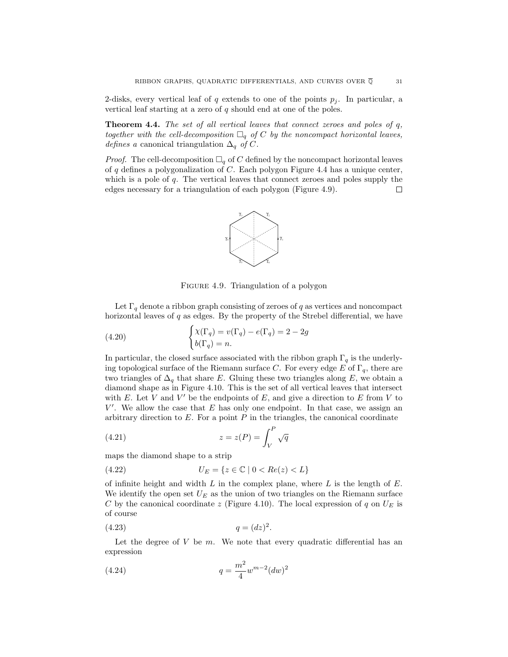2-disks, every vertical leaf of q extends to one of the points  $p_i$ . In particular, a vertical leaf starting at a zero of  $q$  should end at one of the poles.

**Theorem 4.4.** The set of all vertical leaves that connect zeroes and poles of q. together with the cell-decomposition  $\Box_q$  of C by the noncompact horizontal leaves, *defines a* canonical triangulation  $\Delta_q$  of C.

*Proof.* The cell-decomposition  $\Box_q$  of C defined by the noncompact horizontal leaves of  $q$  defines a polygonalization of  $C$ . Each polygon Figure 4.4 has a unique center, which is a pole of q. The vertical leaves that connect zeroes and poles supply the edges necessary for a triangulation of each polygon (Figure 4.9). □



FIGURE 4.9. Triangulation of a polygon

Let  $\Gamma_q$  denote a ribbon graph consisting of zeroes of  $q$  as vertices and noncompact horizontal leaves of  $q$  as edges. By the property of the Strebel differential, we have

(4.20) 
$$
\begin{cases} \chi(\Gamma_q) = v(\Gamma_q) - e(\Gamma_q) = 2 - 2g \\ b(\Gamma_q) = n. \end{cases}
$$

In particular, the closed surface associated with the ribbon graph  $\Gamma_q$  is the underlying topological surface of the Riemann surface C. For every edge E of  $\Gamma_q$ , there are two triangles of  $\Delta_q$  that share E. Gluing these two triangles along E, we obtain a diamond shape as in Figure 4.10. This is the set of all vertical leaves that intersect with E. Let V and V' be the endpoints of E, and give a direction to E from V to  $V'$ . We allow the case that E has only one endpoint. In that case, we assign an arbitrary direction to  $E$ . For a point  $P$  in the triangles, the canonical coordinate

(4.21) 
$$
z = z(P) = \int_V^P \sqrt{q}
$$

maps the diamond shape to a strip

(4.22) 
$$
U_E = \{ z \in \mathbb{C} \mid 0 < Re(z) < L \}
$$

of infinite height and width  $L$  in the complex plane, where  $L$  is the length of  $E$ . We identify the open set  $U_E$  as the union of two triangles on the Riemann surface C by the canonical coordinate z (Figure 4.10). The local expression of q on  $U_E$  is of course

$$
(4.23) \t\t q = (dz)^2.
$$

Let the degree of  $V$  be  $m$ . We note that every quadratic differential has an expression

(4.24) 
$$
q = \frac{m^2}{4} w^{m-2} (dw)^2
$$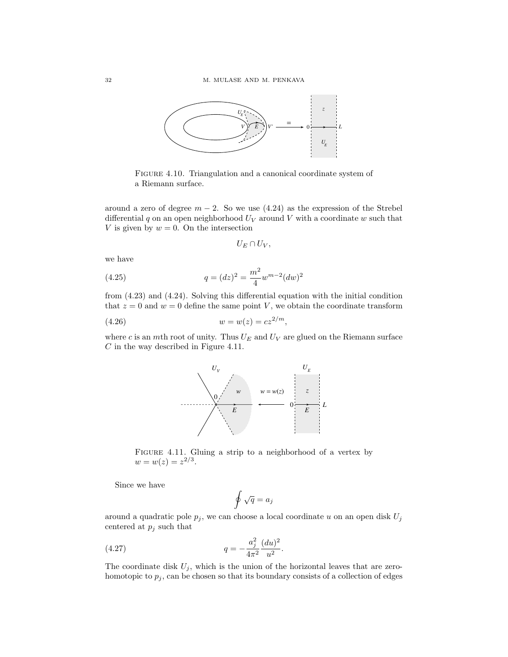

FIGURE 4.10. Triangulation and a canonical coordinate system of a Riemann surface.

around a zero of degree  $m - 2$ . So we use (4.24) as the expression of the Strebel differential  $q$  on an open neighborhood  $U_V$  around  $V$  with a coordinate  $w$  such that V is given by  $w = 0$ . On the intersection

$$
U_E\cap U_V,
$$

we have

(4.25) 
$$
q = (dz)^2 = \frac{m^2}{4} w^{m-2} (dw)^2
$$

from (4.23) and (4.24). Solving this differential equation with the initial condition that  $z = 0$  and  $w = 0$  define the same point V, we obtain the coordinate transform

(4.26) 
$$
w = w(z) = cz^{2/m},
$$

where c is an  $m$ th root of unity. Thus  $U_E$  and  $U_V$  are glued on the Riemann surface C in the way described in Figure 4.11.



FIGURE 4.11. Gluing a strip to a neighborhood of a vertex by  $w = w(z) = z^{2/3}.$ 

Since we have

$$
\oint \sqrt{q} = a_j
$$

around a quadratic pole  $p_j$ , we can choose a local coordinate u on an open disk  $U_j$ centered at  $p_j$  such that

(4.27) 
$$
q = -\frac{a_j^2}{4\pi^2} \frac{(du)^2}{u^2}.
$$

The coordinate disk  $U_j$ , which is the union of the horizontal leaves that are zerohomotopic to  $p_j$ , can be chosen so that its boundary consists of a collection of edges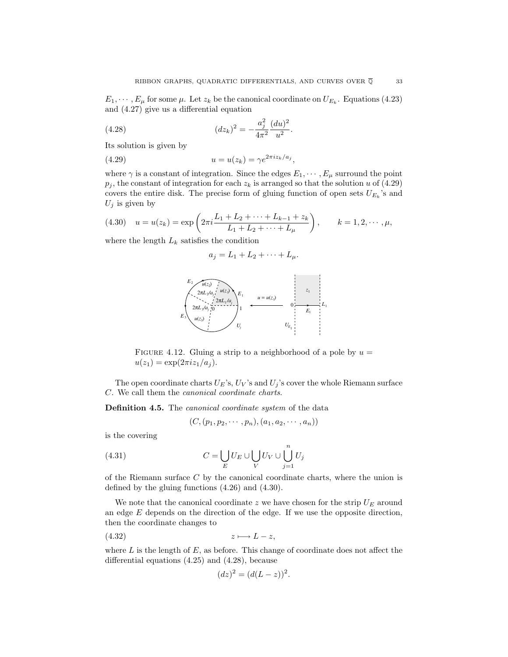$E_1, \dots, E_\mu$  for some  $\mu$ . Let  $z_k$  be the canonical coordinate on  $U_{E_k}$ . Equations (4.23) and (4.27) give us a differential equation

(4.28) 
$$
(dz_k)^2 = -\frac{a_j^2}{4\pi^2} \frac{(du)^2}{u^2}.
$$

Its solution is given by

$$
(4.29) \t\t u = u(z_k) = \gamma e^{2\pi i z_k/a_j},
$$

where  $\gamma$  is a constant of integration. Since the edges  $E_1, \dots, E_\mu$  surround the point  $p_j$ , the constant of integration for each  $z_k$  is arranged so that the solution u of (4.29) covers the entire disk. The precise form of gluing function of open sets  $U_{E_k}$ 's and  $U_j$  is given by

(4.30) 
$$
u = u(z_k) = \exp\left(2\pi i \frac{L_1 + L_2 + \dots + L_{k-1} + z_k}{L_1 + L_2 + \dots + L_\mu}\right), \qquad k = 1, 2, \dots, \mu,
$$

where the length  $L_k$  satisfies the condition

$$
a_j = L_1 + L_2 + \cdots + L_\mu.
$$



FIGURE 4.12. Gluing a strip to a neighborhood of a pole by  $u =$  $u(z_1) = \exp(2\pi i z_1/a_j).$ 

The open coordinate charts  $U_E$ 's,  $U_V$ 's and  $U_j$ 's cover the whole Riemann surface C. We call them the canonical coordinate charts.

**Definition 4.5.** The *canonical coordinate system* of the data

$$
(C, (p_1, p_2, \cdots, p_n), (a_1, a_2, \cdots, a_n))
$$

is the covering

(4.31) 
$$
C = \bigcup_{E} U_{E} \cup \bigcup_{V} U_{V} \cup \bigcup_{j=1}^{n} U_{j}
$$

of the Riemann surface  $C$  by the canonical coordinate charts, where the union is defined by the gluing functions (4.26) and (4.30).

We note that the canonical coordinate z we have chosen for the strip  $U_F$  around an edge  $E$  depends on the direction of the edge. If we use the opposite direction, then the coordinate changes to

$$
(4.32) \t\t z \longmapsto L-z,
$$

where  $L$  is the length of  $E$ , as before. This change of coordinate does not affect the differential equations (4.25) and (4.28), because

$$
(dz)^2 = (d(L-z))^2.
$$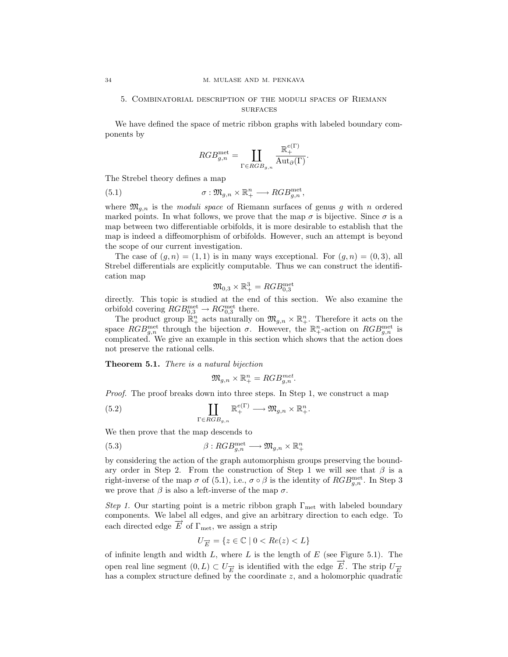# 5. Combinatorial description of the moduli spaces of Riemann surfaces

We have defined the space of metric ribbon graphs with labeled boundary components by

$$
RGB_{g,n}^{\text{met}} = \coprod_{\Gamma \in RGB_{g,n}} \frac{\mathbb{R}^{e(\Gamma)}_+}{\text{Aut}_{\partial}(\Gamma)}.
$$

The Strebel theory defines a map

(5.1) 
$$
\sigma: \mathfrak{M}_{g,n} \times \mathbb{R}^n_+ \longrightarrow RGB_{g,n}^{\text{met}},
$$

where  $\mathfrak{M}_{q,n}$  is the *moduli space* of Riemann surfaces of genus g with n ordered marked points. In what follows, we prove that the map  $\sigma$  is bijective. Since  $\sigma$  is a map between two differentiable orbifolds, it is more desirable to establish that the map is indeed a diffeomorphism of orbifolds. However, such an attempt is beyond the scope of our current investigation.

The case of  $(g, n) = (1, 1)$  is in many ways exceptional. For  $(g, n) = (0, 3)$ , all Strebel differentials are explicitly computable. Thus we can construct the identification map

$$
\mathfrak{M}_{0,3} \times \mathbb{R}^3_+ = RGB^{\mathrm{met}}_{0,3}
$$

directly. This topic is studied at the end of this section. We also examine the orbifold covering  $RGB_{0,3}^{met} \rightarrow RG_{0,3}^{met}$  there.

The product group  $\mathbb{R}^n_+$  acts naturally on  $\mathfrak{M}_{g,n} \times \mathbb{R}^n_+$ . Therefore it acts on the space  $RGB_{g,n}^{\text{met}}$  through the bijection  $\sigma$ . However, the  $\mathbb{R}^n_+$ -action on  $RGB_{g,n}^{\text{met}}$  is complicated. We give an example in this section which shows that the action does not preserve the rational cells.

**Theorem5.1.** There is a natural bijection

$$
\mathfrak{M}_{g,n} \times \mathbb{R}^n_+ = RGB_{g,n}^{met}.
$$

Proof. The proof breaks down into three steps. In Step 1, we construct a map

(5.2) 
$$
\coprod_{\Gamma \in RGB_{g,n}} \mathbb{R}^{e(\Gamma)}_+ \longrightarrow \mathfrak{M}_{g,n} \times \mathbb{R}^n_+.
$$

We then prove that the map descends to

(5.3) 
$$
\beta:RGB_{g,n}^{\text{met}} \longrightarrow \mathfrak{M}_{g,n} \times \mathbb{R}^n_+
$$

by considering the action of the graph automorphism groups preserving the boundary order in Step 2. From the construction of Step 1 we will see that  $\beta$  is a right-inverse of the map  $\sigma$  of (5.1), i.e.,  $\sigma \circ \beta$  is the identity of  $RGB_{g,n}^{\text{met}}$ . In Step 3 we prove that  $\beta$  is also a left-inverse of the map  $\sigma$ .

Step 1. Our starting point is a metric ribbon graph  $\Gamma_{\rm met}$  with labeled boundary components. We label all edges, and give an arbitrary direction to each edge. To each directed edge  $\vec{E}$  of  $\Gamma_{\text{met}}$ , we assign a strip

$$
U_{\overrightarrow{E}} = \{ z \in \mathbb{C} \mid 0 < Re(z) < L \}
$$

of infinite length and width  $L$ , where  $L$  is the length of  $E$  (see Figure 5.1). The open real line segment  $(0, L) \subset U_{\overrightarrow{E}}$  is identified with the edge  $\overrightarrow{E}$ . The strip  $U_{\overrightarrow{E}}$ has a complex structure defined by the coordinate  $z$ , and a holomorphic quadratic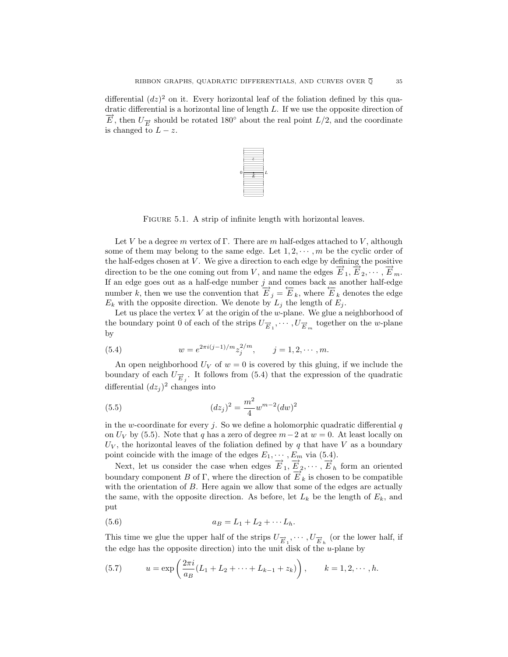differential  $(dz)^2$  on it. Every horizontal leaf of the foliation defined by this quadratic differential is a horizontal line of length L. If we use the opposite direction of  $\overrightarrow{E}$ , then  $U_{\overrightarrow{E}}$  should be rotated 180° about the real point  $L/2$ , and the coordinate is changed to  $L - z$ .



FIGURE 5.1. A strip of infinite length with horizontal leaves.

Let V be a degree m vertex of Γ. There are m half-edges attached to V, although some of them may belong to the same edge. Let  $1, 2, \dots, m$  be the cyclic order of the half-edges chosen at  $V$ . We give a direction to each edge by defining the positive direction to be the one coming out from V, and name the edges  $\overrightarrow{E}_1, \overrightarrow{E}_2, \cdots, \overrightarrow{E}_m$ . If an edge goes out as a half-edge number  $j$  and comes back as another half-edge number k, then we use the convention that  $\overrightarrow{E}_j = \overleftarrow{E}_k$ , where  $\overleftarrow{E}_k$  denotes the edge  $E_k$  with the opposite direction. We denote by  $L_i$  the length of  $E_i$ .

Let us place the vertex  $V$  at the origin of the  $w$ -plane. We glue a neighborhood of the boundary point 0 of each of the strips  $U_{\overrightarrow{E}_1}, \cdots, U_{\overrightarrow{E}_m}$  together on the *w*-plane by

(5.4) 
$$
w = e^{2\pi i (j-1)/m} z_j^{2/m}, \qquad j = 1, 2, \cdots, m.
$$

An open neighborhood  $U_V$  of  $w = 0$  is covered by this gluing, if we include the boundary of each  $U_{\overrightarrow{E}_j}$ . It follows from (5.4) that the expression of the quadratic differential  $(dz_i)^2$  changes into

(5.5) 
$$
(dz_j)^2 = \frac{m^2}{4} w^{m-2} (dw)^2
$$

in the w-coordinate for every j. So we define a holomorphic quadratic differential  $q$ on  $U_V$  by (5.5). Note that q has a zero of degree  $m-2$  at  $w=0$ . At least locally on  $U_V$ , the horizontal leaves of the foliation defined by q that have V as a boundary point coincide with the image of the edges  $E_1, \dots, E_m$  via (5.4).

Next, let us consider the case when edges  $\overrightarrow{E}_1, \overrightarrow{E}_2, \cdots, \overrightarrow{E}_h$  form an oriented boundary component B of Γ, where the direction of  $E_k$  is chosen to be compatible with the orientation of B. Here again we allow that some of the edges are actually the same, with the opposite direction. As before, let  $L_k$  be the length of  $E_k$ , and put

(5.6) 
$$
a_B = L_1 + L_2 + \cdots L_h.
$$

This time we glue the upper half of the strips  $U_{\overrightarrow{E}_1}, \cdots, U_{\overrightarrow{E}_h}$  (or the lower half, if the edge has the opposite direction) into the unit disk of the  $u$ -plane by

(5.7) 
$$
u = \exp\left(\frac{2\pi i}{a_B}(L_1 + L_2 + \dots + L_{k-1} + z_k)\right), \qquad k = 1, 2, \dots, h.
$$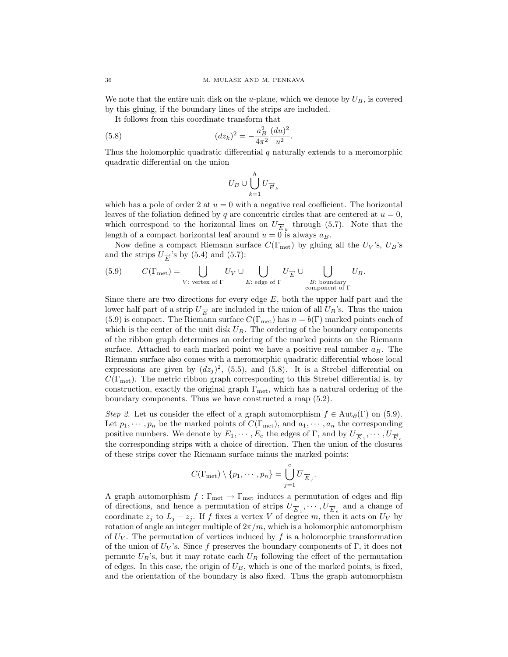We note that the entire unit disk on the u-plane, which we denote by  $U_B$ , is covered by this gluing, if the boundary lines of the strips are included.

It follows from this coordinate transform that

(5.8) 
$$
(dz_k)^2 = -\frac{a_B^2}{4\pi^2} \frac{(du)^2}{u^2}.
$$

Thus the holomorphic quadratic differential  $q$  naturally extends to a meromorphic quadratic differential on the union

$$
U_B\cup\bigcup_{k=1}^hU_{\overrightarrow{E}_k}
$$

which has a pole of order 2 at  $u = 0$  with a negative real coefficient. The horizontal leaves of the foliation defined by q are concentric circles that are centered at  $u = 0$ , which correspond to the horizontal lines on  $U_{\vec{E}_L}$  through (5.7). Note that the length of a compact horizontal leaf around  $u = 0$  is always  $a_B$ .

Now define a compact Riemann surface  $C(\Gamma_{\text{met}})$  by gluing all the  $U_V$ 's,  $U_B$ 's and the strips  $U_{\overrightarrow{E}}$ 's by (5.4) and (5.7):

(5.9) 
$$
C(\Gamma_{\text{met}}) = \bigcup_{V: \text{ vertex of } \Gamma} U_V \cup \bigcup_{E: \text{ edge of } \Gamma} U_{\overrightarrow{E}} \cup \bigcup_{\substack{B: \text{ boundary} \\ \text{component of } \Gamma}} U_B.
$$

Since there are two directions for every edge  $E$ , both the upper half part and the lower half part of a strip  $U_{\vec{F}}$  are included in the union of all  $U_B$ 's. Thus the union (5.9) is compact. The Riemann surface  $C(\Gamma_{\text{met}})$  has  $n = b(\Gamma)$  marked points each of which is the center of the unit disk  $U_B$ . The ordering of the boundary components of the ribbon graph determines an ordering of the marked points on the Riemann surface. Attached to each marked point we have a positive real number  $a_B$ . The Riemann surface also comes with a meromorphic quadratic differential whose local expressions are given by  $(dz_j)^2$ , (5.5), and (5.8). It is a Strebel differential on  $C(\Gamma_{\text{met}})$ . The metric ribbon graph corresponding to this Strebel differential is, by construction, exactly the original graph  $\Gamma_{\text{met}}$ , which has a natural ordering of the boundary components. Thus we have constructed a map (5.2).

Step 2. Let us consider the effect of a graph automorphism  $f \in Aut_{\partial}(\Gamma)$  on (5.9). Let  $p_1, \dots, p_n$  be the marked points of  $C(\Gamma_{\text{met}})$ , and  $a_1, \dots, a_n$  the corresponding positive numbers. We denote by  $E_1, \dots, E_e$  the edges of  $\Gamma$ , and by  $U_{\overrightarrow{E}_1}, \dots, U_{\overrightarrow{E}_e}$ the corresponding strips with a choice of direction. Then the union of the closures of these strips cover the Riemann surface minus the marked points:

$$
C(\Gamma_{\text{met}})\setminus\{p_1,\cdots,p_n\}=\bigcup_{j=1}^e\overline{U}_{\overrightarrow{E}_j}.
$$

A graph automorphism  $f : \Gamma_{\text{met}} \to \Gamma_{\text{met}}$  induces a permutation of edges and flip of directions, and hence a permutation of strips  $U_{\overrightarrow{E}_1}, \cdots, U_{\overrightarrow{E}_e}$  and a change of coordinate  $z_j$  to  $L_j - z_j$ . If f fixes a vertex V of degree m, then it acts on  $U_V$  by rotation of angle an integer multiple of  $2\pi/m$ , which is a holomorphic automorphism of  $U_V$ . The permutation of vertices induced by f is a holomorphic transformation of the union of  $U_V$ 's. Since f preserves the boundary components of Γ, it does not permute  $U_B$ 's, but it may rotate each  $U_B$  following the effect of the permutation of edges. In this case, the origin of  $U_B$ , which is one of the marked points, is fixed, and the orientation of the boundary is also fixed. Thus the graph automorphism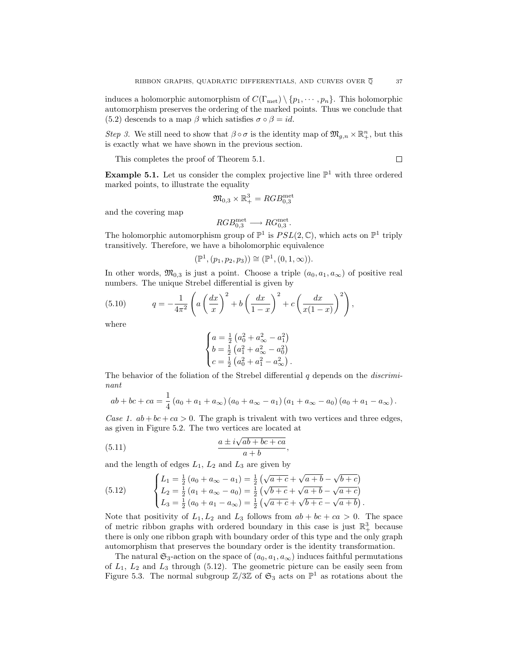induces a holomorphic automorphism of  $C(\Gamma_{\text{met}}) \setminus \{p_1, \dots, p_n\}$ . This holomorphic automorphism preserves the ordering of the marked points. Thus we conclude that (5.2) descends to a map  $\beta$  which satisfies  $\sigma \circ \beta = id$ .

Step 3. We still need to show that  $\beta \circ \sigma$  is the identity map of  $\mathfrak{M}_{g,n} \times \mathbb{R}^n_+$ , but this is exactly what we have shown in the previous section.

This completes the proof of Theorem 5.1.

**Example 5.1.** Let us consider the complex projective line  $\mathbb{P}^1$  with three ordered marked points, to illustrate the equality

$$
\mathfrak{M}_{0,3} \times \mathbb{R}^3_+ = RGB^{\mathrm{met}}_{0,3}
$$

and the covering map

$$
RGB_{0,3}^{\text{met}} \longrightarrow RG_{0,3}^{\text{met}}.
$$

The holomorphic automorphism group of  $\mathbb{P}^1$  is  $PSL(2,\mathbb{C})$ , which acts on  $\mathbb{P}^1$  triply transitively. Therefore, we have a biholomorphic equivalence

$$
(\mathbb{P}^1, (p_1, p_2, p_3)) \cong (\mathbb{P}^1, (0, 1, \infty)).
$$

In other words,  $\mathfrak{M}_{0,3}$  is just a point. Choose a triple  $(a_0, a_1, a_\infty)$  of positive real numbers. The unique Strebel differential is given by

(5.10) 
$$
q = -\frac{1}{4\pi^2} \left( a \left( \frac{dx}{x} \right)^2 + b \left( \frac{dx}{1-x} \right)^2 + c \left( \frac{dx}{x(1-x)} \right)^2 \right),
$$

where

$$
\begin{cases}\na = \frac{1}{2} \left( a_0^2 + a_\infty^2 - a_1^2 \right) \\
b = \frac{1}{2} \left( a_1^2 + a_\infty^2 - a_0^2 \right) \\
c = \frac{1}{2} \left( a_0^2 + a_1^2 - a_\infty^2 \right).\n\end{cases}
$$

The behavior of the foliation of the Strebel differential  $q$  depends on the *discrimi*nant

$$
ab + bc + ca = \frac{1}{4} (a_0 + a_1 + a_{\infty}) (a_0 + a_{\infty} - a_1) (a_1 + a_{\infty} - a_0) (a_0 + a_1 - a_{\infty}).
$$

Case 1.  $ab + bc + ca > 0$ . The graph is trivalent with two vertices and three edges, as given in Figure 5.2. The two vertices are located at

(5.11) 
$$
\frac{a \pm i\sqrt{ab + bc + ca}}{a + b},
$$

and the length of edges  $L_1$ ,  $L_2$  and  $L_3$  are given by

(5.12) 
$$
\begin{cases} L_1 = \frac{1}{2} (a_0 + a_{\infty} - a_1) = \frac{1}{2} (\sqrt{a+c} + \sqrt{a+b} - \sqrt{b+c}) \\ L_2 = \frac{1}{2} (a_1 + a_{\infty} - a_0) = \frac{1}{2} (\sqrt{b+c} + \sqrt{a+b} - \sqrt{a+c}) \\ L_3 = \frac{1}{2} (a_0 + a_1 - a_{\infty}) = \frac{1}{2} (\sqrt{a+c} + \sqrt{b+c} - \sqrt{a+b}). \end{cases}
$$

Note that positivity of  $L_1, L_2$  and  $L_3$  follows from  $ab + bc + ca > 0$ . The space of metric ribbon graphs with ordered boundary in this case is just  $\mathbb{R}^3_+$  because there is only one ribbon graph with boundary order of this type and the only graph automorphism that preserves the boundary order is the identity transformation.

The natural  $\mathfrak{S}_3$ -action on the space of  $(a_0, a_1, a_\infty)$  induces faithful permutations of  $L_1$ ,  $L_2$  and  $L_3$  through (5.12). The geometric picture can be easily seen from Figure 5.3. The normal subgroup  $\mathbb{Z}/3\mathbb{Z}$  of  $\mathfrak{S}_3$  acts on  $\mathbb{P}^1$  as rotations about the

 $\Box$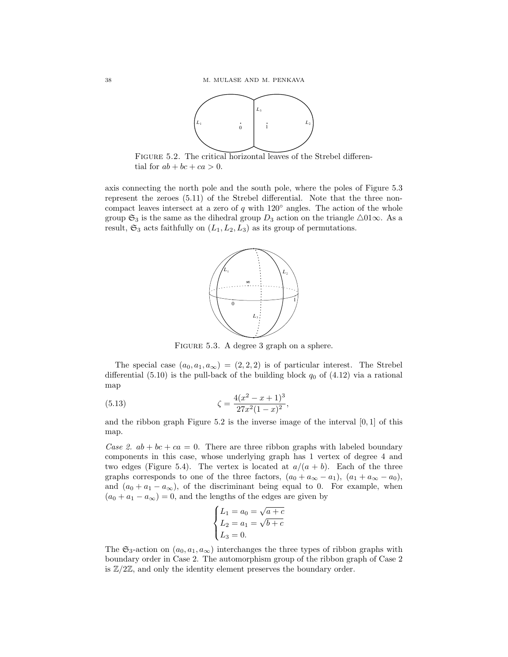

FIGURE 5.2. The critical horizontal leaves of the Strebel differential for  $ab + bc + ca > 0$ .

axis connecting the north pole and the south pole, where the poles of Figure 5.3 represent the zeroes (5.11) of the Strebel differential. Note that the three noncompact leaves intersect at a zero of  $q$  with  $120°$  angles. The action of the whole group  $\mathfrak{S}_3$  is the same as the dihedral group  $D_3$  action on the triangle  $\triangle$ 01∞. As a result,  $\mathfrak{S}_3$  acts faithfully on  $(L_1, L_2, L_3)$  as its group of permutations.



FIGURE 5.3. A degree 3 graph on a sphere.

The special case  $(a_0, a_1, a_\infty) = (2, 2, 2)$  is of particular interest. The Strebel differential  $(5.10)$  is the pull-back of the building block  $q_0$  of  $(4.12)$  via a rational map

(5.13) 
$$
\zeta = \frac{4(x^2 - x + 1)^3}{27x^2(1 - x)^2},
$$

and the ribbon graph Figure  $5.2$  is the inverse image of the interval  $[0, 1]$  of this map.

Case 2.  $ab + bc + ca = 0$ . There are three ribbon graphs with labeled boundary components in this case, whose underlying graph has 1 vertex of degree 4 and two edges (Figure 5.4). The vertex is located at  $a/(a + b)$ . Each of the three graphs corresponds to one of the three factors,  $(a_0 + a_{\infty} - a_1)$ ,  $(a_1 + a_{\infty} - a_0)$ , and  $(a_0 + a_1 - a_\infty)$ , of the discriminant being equal to 0. For example, when  $(a_0 + a_1 - a_\infty) = 0$ , and the lengths of the edges are given by

$$
\begin{cases}\nL_1 = a_0 = \sqrt{a+c} \\
L_2 = a_1 = \sqrt{b+c} \\
L_3 = 0.\n\end{cases}
$$

The  $\mathfrak{S}_3$ -action on  $(a_0, a_1, a_\infty)$  interchanges the three types of ribbon graphs with boundary order in Case 2. The automorphism group of the ribbon graph of Case 2 is  $\mathbb{Z}/2\mathbb{Z}$ , and only the identity element preserves the boundary order.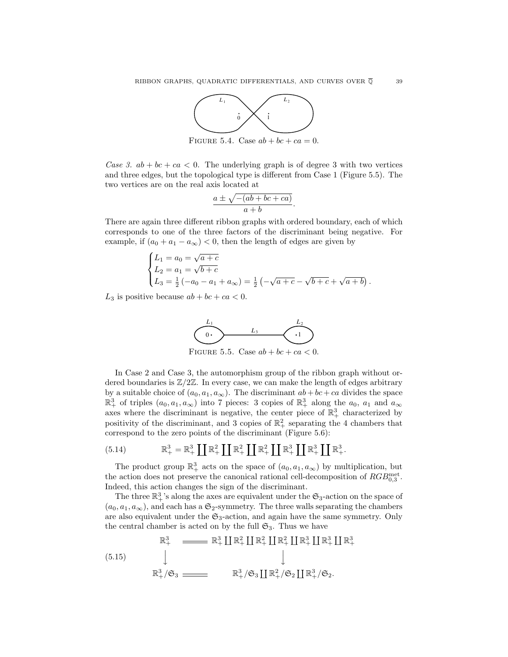

FIGURE 5.4. Case  $ab + bc + ca = 0$ .

Case 3.  $ab + bc + ca < 0$ . The underlying graph is of degree 3 with two vertices and three edges, but the topological type is different from Case 1 (Figure 5.5). The two vertices are on the real axis located at

$$
\frac{a \pm \sqrt{-(ab + bc + ca)}}{a + b}.
$$

There are again three different ribbon graphs with ordered boundary, each of which corresponds to one of the three factors of the discriminant being negative. For example, if  $(a_0 + a_1 - a_\infty) < 0$ , then the length of edges are given by

$$
\begin{cases}\nL_1 = a_0 = \sqrt{a+c} \\
L_2 = a_1 = \sqrt{b+c} \\
L_3 = \frac{1}{2}(-a_0 - a_1 + a_\infty) = \frac{1}{2}(-\sqrt{a+c} - \sqrt{b+c} + \sqrt{a+b}).\n\end{cases}
$$

 $L_3$  is positive because  $ab + bc + ca < 0$ .



In Case 2 and Case 3, the automorphism group of the ribbon graph without ordered boundaries is  $\mathbb{Z}/2\mathbb{Z}$ . In every case, we can make the length of edges arbitrary by a suitable choice of  $(a_0, a_1, a_\infty)$ . The discriminant  $ab + bc + ca$  divides the space  $\mathbb{R}^3_+$  of triples  $(a_0, a_1, a_\infty)$  into 7 pieces: 3 copies of  $\mathbb{R}^3_+$  along the  $a_0$ ,  $a_1$  and  $a_\infty$ axes where the discriminant is negative, the center piece of  $\mathbb{R}^3_+$  characterized by positivity of the discriminant, and 3 copies of  $\mathbb{R}^2_+$  separating the 4 chambers that correspond to the zero points of the discriminant (Figure 5.6):

(5.14) 
$$
\mathbb{R}^3_+ = \mathbb{R}^3_+ \coprod \mathbb{R}^2_+ \coprod \mathbb{R}^2_+ \coprod \mathbb{R}^2_+ \coprod \mathbb{R}^3_+ \coprod \mathbb{R}^3_+ \coprod \mathbb{R}^3_+.
$$

The product group  $\mathbb{R}^3_+$  acts on the space of  $(a_0, a_1, a_\infty)$  by multiplication, but the action does not preserve the canonical rational cell-decomposition of  $RGB_{0,3}^{met}$ . Indeed, this action changes the sign of the discriminant.

The three  $\mathbb{R}^3_+$ 's along the axes are equivalent under the  $\mathfrak{S}_3$ -action on the space of  $(a_0, a_1, a_\infty)$ , and each has a  $\mathfrak{S}_2$ -symmetry. The three walls separating the chambers are also equivalent under the  $\mathfrak{S}_3$ -action, and again have the same symmetry. Only the central chamber is acted on by the full  $\mathfrak{S}_3$ . Thus we have

(5.15) 
$$
\mathbb{R}^3_+ \longrightarrow \mathbb{R}^3_+ \coprod \mathbb{R}^2_+ \coprod \mathbb{R}^2_+ \coprod \mathbb{R}^3_+ \coprod \mathbb{R}^3_+ \coprod \mathbb{R}^3_+
$$

$$
\downarrow
$$

$$
\mathbb{R}^3_+ / \mathfrak{S}_3 \longrightarrow \mathbb{R}^3_+ / \mathfrak{S}_3 \coprod \mathbb{R}^2_+ / \mathfrak{S}_2 \coprod \mathbb{R}^3_+ / \mathfrak{S}_2.
$$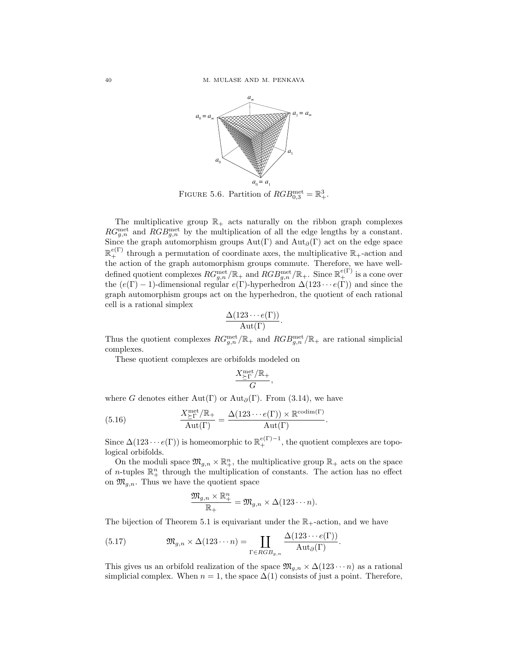

FIGURE 5.6. Partition of  $RGB_{0,3}^{\text{met}} = \mathbb{R}^3_+$ .

The multiplicative group  $\mathbb{R}_+$  acts naturally on the ribbon graph complexes  $RG_{g,n}^{\text{met}}$  and  $RGB_{g,n}^{\text{met}}$  by the multiplication of all the edge lengths by a constant. Since the graph automorphism groups  $Aut(\Gamma)$  and  $Aut_{\partial}(\Gamma)$  act on the edge space  $\mathbb{R}^{e(\Gamma)}_+$  through a permutation of coordinate axes, the multiplicative  $\mathbb{R}_+$ -action and the action of the graph automorphism groups commute. Therefore, we have welldefined quotient complexes  $RG_{g,n}^{\text{met}}/\mathbb{R}_+$  and  $RGB_{g,n}^{\text{met}}/\mathbb{R}_+$ . Since  $\mathbb{R}_+^{e(\Gamma)}$  is a cone over the  $(e(\Gamma) - 1)$ -dimensional regular  $e(\Gamma)$ -hyperhedron  $\Delta(123 \cdots e(\Gamma))$  and since the graph automorphism groups act on the hyperhedron, the quotient of each rational cell is a rational simplex

$$
\frac{\Delta(123\cdots e(\Gamma))}{\mathrm{Aut}(\Gamma)}.
$$

Thus the quotient complexes  $RG_{g,n}^{\text{met}}/\mathbb{R}_+$  and  $RGB_{g,n}^{\text{met}}/\mathbb{R}_+$  are rational simplicial complexes.

These quotient complexes are orbifolds modeled on

$$
\frac{X_{\geq \Gamma}^{\rm met}/\mathbb{R}_+}{G},
$$

where G denotes either Aut(Γ) or Aut<sub>∂</sub>(Γ). From (3.14), we have

(5.16) 
$$
\frac{X_{\text{FT}}^{\text{met}}/\mathbb{R}_+}{\text{Aut}(\Gamma)} = \frac{\Delta(123 \cdots e(\Gamma)) \times \mathbb{R}^{\text{codim}(\Gamma)}}{\text{Aut}(\Gamma)}.
$$

Since  $\Delta(123 \cdots e(\Gamma))$  is homeomorphic to  $\mathbb{R}^{e(\Gamma)-1}_+$ , the quotient complexes are topological orbifolds.

On the moduli space  $\mathfrak{M}_{g,n} \times \mathbb{R}^n_+$ , the multiplicative group  $\mathbb{R}_+$  acts on the space of *n*-tuples  $\mathbb{R}^n_+$  through the multiplication of constants. The action has no effect on  $\mathfrak{M}_{q,n}$ . Thus we have the quotient space

$$
\frac{\mathfrak{M}_{g,n}\times\mathbb{R}^n_+}{\mathbb{R}_+}=\mathfrak{M}_{g,n}\times\Delta(123\cdots n).
$$

The bijection of Theorem 5.1 is equivariant under the  $\mathbb{R}_+$ -action, and we have

(5.17) 
$$
\mathfrak{M}_{g,n} \times \Delta(123\cdots n) = \prod_{\Gamma \in RGB_{g,n}} \frac{\Delta(123\cdots e(\Gamma))}{\text{Aut}_{\partial}(\Gamma)}.
$$

This gives us an orbifold realization of the space  $\mathfrak{M}_{g,n} \times \Delta(123 \cdots n)$  as a rational simplicial complex. When  $n = 1$ , the space  $\Delta(1)$  consists of just a point. Therefore,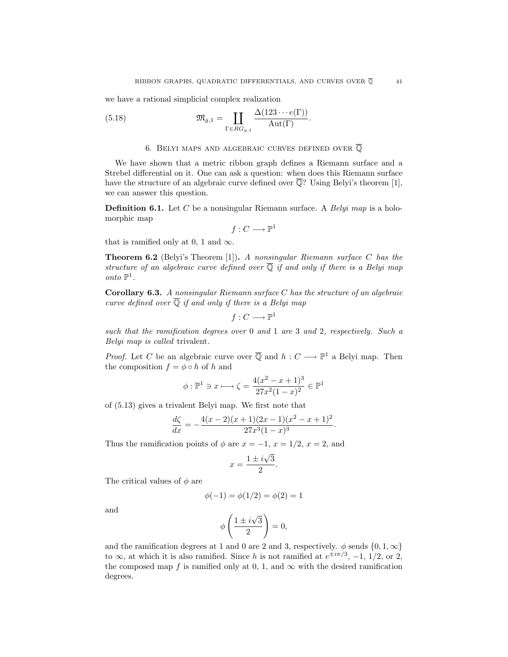we have a rational simplicial complex realization

(5.18) 
$$
\mathfrak{M}_{g,1} = \coprod_{\Gamma \in RG_{g,1}} \frac{\Delta(123 \cdots e(\Gamma))}{\mathrm{Aut}(\Gamma)}.
$$

# 6. BELYI MAPS AND ALGEBRAIC CURVES DEFINED OVER  $\overline{Q}$

We have shown that a metric ribbon graph defines a Riemann surface and a Strebel differential on it. One can ask a question: when does this Riemann surface have the structure of an algebraic curve defined over  $\overline{Q}$ ? Using Belyi's theorem [1], we can answer this question.

**Definition 6.1.** Let C be a nonsingular Riemann surface. A *Belyi map* is a holomorphic map

$$
f:C\longrightarrow \mathbb{P}^1
$$

that is ramified only at 0, 1 and  $\infty$ .

**Theorem 6.2** (Belyi's Theorem [1]). A nonsingular Riemann surface C has the structure of an algebraic curve defined over  $\overline{Q}$  if and only if there is a Belyi map onto  $\mathbb{P}^1$ .

**Corollary 6.3.** A nonsingular Riemann surface C has the structure of an algebraic curve defined over  $\overline{Q}$  if and only if there is a Belyi map

$$
f:C\longrightarrow \mathbb{P}^1
$$

such that the ramification degrees over 0 and 1 are 3 and 2, respectively. Such a Belyi map is called trivalent.

*Proof.* Let C be an algebraic curve over  $\overline{Q}$  and  $h: C \longrightarrow \mathbb{P}^1$  a Belyi map. Then the composition  $f = \phi \circ h$  of h and

$$
\phi : \mathbb{P}^1 \ni x \longmapsto \zeta = \frac{4(x^2 - x + 1)^3}{27x^2(1 - x)^2} \in \mathbb{P}^1
$$

of (5.13) gives a trivalent Belyi map. We first note that

$$
\frac{d\zeta}{dx} = -\frac{4(x-2)(x+1)(2x-1)(x^2-x+1)^2}{27x^3(1-x)^3}.
$$

Thus the ramification points of  $\phi$  are  $x = -1$ ,  $x = 1/2$ ,  $x = 2$ , and

$$
x = \frac{1 \pm i\sqrt{3}}{2}.
$$

The critical values of  $\phi$  are

$$
\phi(-1) = \phi(1/2) = \phi(2) = 1
$$

and

$$
\phi\left(\frac{1 \pm i\sqrt{3}}{2}\right) = 0,
$$

and the ramification degrees at 1 and 0 are 2 and 3, respectively.  $\phi$  sends  $\{0, 1, \infty\}$ to  $\infty$ , at which it is also ramified. Since h is not ramified at  $e^{\pm i\pi/3}$ , -1, 1/2, or 2, the composed map f is ramified only at 0, 1, and  $\infty$  with the desired ramification degrees.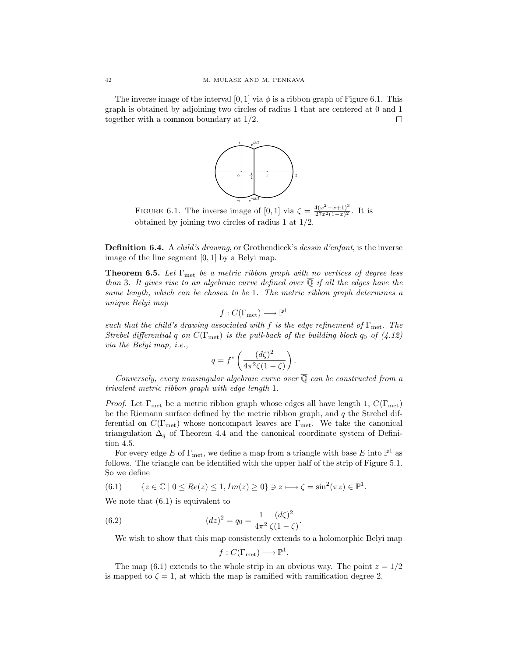The inverse image of the interval [0, 1] via  $\phi$  is a ribbon graph of Figure 6.1. This graph is obtained by adjoining two circles of radius 1 that are centered at 0 and 1 together with a common boundary at 1/2. □



FIGURE 6.1. The inverse image of [0, 1] via  $\zeta = \frac{4(x^2 - x + 1)^3}{27x^2(1-x)^2}$ . It is obtained by joining two circles of radius 1 at 1/2.

**Definition 6.4.** A *child's drawing*, or Grothendieck's *dessin d'enfant*, is the inverse image of the line segment [0, 1] by a Belyi map.

**Theorem 6.5.** Let Γ<sub>met</sub> be a metric ribbon graph with no vertices of degree less than 3. It gives rise to an algebraic curve defined over  $\overline{Q}$  if all the edges have the same length, which can be chosen to be 1. The metric ribbon graph determines a unique Belyi map

$$
f: C(\Gamma_{\text{met}}) \longrightarrow \mathbb{P}^1
$$

such that the child's drawing associated with f is the edge refinement of  $\Gamma_{\text{met}}$ . The Strebel differential q on  $C(\Gamma_{\text{met}})$  is the pull-back of the building block  $q_0$  of  $(4.12)$ via the Belyi map, i.e.,

$$
q = f^* \left( \frac{(d\zeta)^2}{4\pi^2 \zeta (1 - \zeta)} \right).
$$

Conversely, every nonsingular algebraic curve over  $\overline{Q}$  can be constructed from a trivalent metric ribbon graph with edge length 1.

*Proof.* Let  $\Gamma_{\text{met}}$  be a metric ribbon graph whose edges all have length 1,  $C(\Gamma_{\text{met}})$ be the Riemann surface defined by the metric ribbon graph, and  $q$  the Strebel differential on  $C(\Gamma_{\text{met}})$  whose noncompact leaves are  $\Gamma_{\text{met}}$ . We take the canonical triangulation  $\Delta_q$  of Theorem 4.4 and the canonical coordinate system of Definition 4.5.

For every edge  $E$  of  $\Gamma_{\rm met},$  we define a map from a triangle with base  $E$  into  $\mathbb{P}^1$  as follows. The triangle can be identified with the upper half of the strip of Figure 5.1. So we define

(6.1) 
$$
\{z \in \mathbb{C} \mid 0 \le Re(z) \le 1, Im(z) \ge 0\} \ni z \longmapsto \zeta = \sin^2(\pi z) \in \mathbb{P}^1.
$$

We note that (6.1) is equivalent to

(6.2) 
$$
(dz)^2 = q_0 = \frac{1}{4\pi^2} \frac{(d\zeta)^2}{\zeta(1-\zeta)}.
$$

We wish to show that this map consistently extends to a holomorphic Belyi map

$$
f: C(\Gamma_{\text{met}}) \longrightarrow \mathbb{P}^1.
$$

The map (6.1) extends to the whole strip in an obvious way. The point  $z = 1/2$ is mapped to  $\zeta = 1$ , at which the map is ramified with ramification degree 2.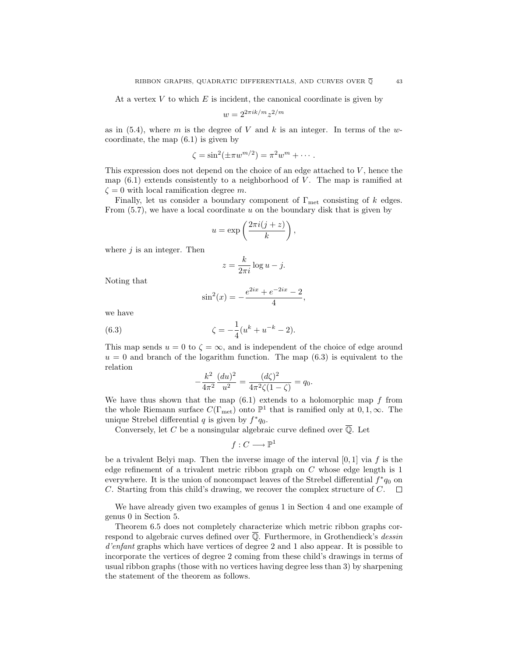At a vertex  $V$  to which  $E$  is incident, the canonical coordinate is given by

$$
w=2^{2\pi i k/m}z^{2/m}
$$

as in  $(5.4)$ , where m is the degree of V and k is an integer. In terms of the wcoordinate, the map (6.1) is given by

$$
\zeta = \sin^2(\pm \pi w^{m/2}) = \pi^2 w^m + \cdots.
$$

This expression does not depend on the choice of an edge attached to  $V$ , hence the map  $(6.1)$  extends consistently to a neighborhood of V. The map is ramified at  $\zeta = 0$  with local ramification degree m.

Finally, let us consider a boundary component of  $\Gamma_{\text{met}}$  consisting of k edges. From  $(5.7)$ , we have a local coordinate u on the boundary disk that is given by

$$
u = \exp\left(\frac{2\pi i(j+z)}{k}\right),\,
$$

where  $j$  is an integer. Then

$$
z = \frac{k}{2\pi i} \log u - j.
$$

Noting that

$$
\sin^2(x) = -\frac{e^{2ix} + e^{-2ix} - 2}{4},
$$

we have

(6.3) 
$$
\zeta = -\frac{1}{4}(u^k + u^{-k} - 2).
$$

This map sends  $u = 0$  to  $\zeta = \infty$ , and is independent of the choice of edge around  $u = 0$  and branch of the logarithm function. The map  $(6.3)$  is equivalent to the relation

$$
-\frac{k^2}{4\pi^2}\frac{(du)^2}{u^2} = \frac{(d\zeta)^2}{4\pi^2\zeta(1-\zeta)} = q_0.
$$

We have thus shown that the map  $(6.1)$  extends to a holomorphic map  $f$  from the whole Riemann surface  $C(\Gamma_{\text{met}})$  onto  $\mathbb{P}^1$  that is ramified only at  $0, 1, \infty$ . The unique Strebel differential q is given by  $f^*q_0$ .

Conversely, let C be a nonsingular algebraic curve defined over  $\overline{Q}$ . Let

$$
f:C\longrightarrow \mathbb{P}^1
$$

be a trivalent Belyi map. Then the inverse image of the interval  $[0, 1]$  via f is the edge refinement of a trivalent metric ribbon graph on C whose edge length is 1 everywhere. It is the union of noncompact leaves of the Strebel differential  $f^*q_0$  on C. Starting from this child's drawing, we recover the complex structure of  $C$ .  $\Box$ 

We have already given two examples of genus 1 in Section 4 and one example of genus 0 in Section 5.

Theorem 6.5 does not completely characterize which metric ribbon graphs correspond to algebraic curves defined over  $\overline{Q}$ . Furthermore, in Grothendieck's *dessin* d'enfant graphs which have vertices of degree 2 and 1 also appear. It is possible to incorporate the vertices of degree 2 coming from these child's drawings in terms of usual ribbon graphs (those with no vertices having degree less than 3) by sharpening the statement of the theorem as follows.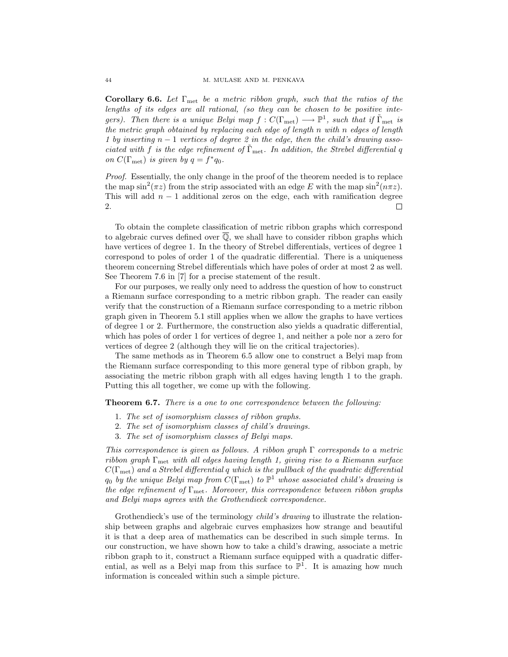**Corollary 6.6.** Let Γmet be a metric ribbon graph, such that the ratios of the lengths of its edges are all rational, (so they can be chosen to be positive integers). Then there is a unique Belyi map  $f: C(\Gamma_{\text{met}}) \longrightarrow \mathbb{P}^1$ , such that if  $\tilde{\Gamma}_{\text{met}}$  is the metric graph obtained by replacing each edge of length n with n edges of length 1 by inserting  $n - 1$  vertices of degree 2 in the edge, then the child's drawing associated with f is the edge refinement of  $\tilde{\Gamma}_{\text{met}}$ . In addition, the Strebel differential q on  $C(\Gamma_{\text{met}})$  is given by  $q = f^*q_0$ .

Proof. Essentially, the only change in the proof of the theorem needed is to replace the map  $\sin^2(\pi z)$  from the strip associated with an edge E with the map  $\sin^2(n\pi z)$ . This will add  $n - 1$  additional zeros on the edge, each with ramification degree 2. П

To obtain the complete classification of metric ribbon graphs which correspond to algebraic curves defined over  $\overline{Q}$ , we shall have to consider ribbon graphs which have vertices of degree 1. In the theory of Strebel differentials, vertices of degree 1 correspond to poles of order 1 of the quadratic differential. There is a uniqueness theorem concerning Strebel differentials which have poles of order at most 2 as well. See Theorem 7.6 in [7] for a precise statement of the result.

For our purposes, we really only need to address the question of how to construct a Riemann surface corresponding to a metric ribbon graph. The reader can easily verify that the construction of a Riemann surface corresponding to a metric ribbon graph given in Theorem 5.1 still applies when we allow the graphs to have vertices of degree 1 or 2. Furthermore, the construction also yields a quadratic differential, which has poles of order 1 for vertices of degree 1, and neither a pole nor a zero for vertices of degree 2 (although they will lie on the critical trajectories).

The same methods as in Theorem 6.5 allow one to construct a Belyi map from the Riemann surface corresponding to this more general type of ribbon graph, by associating the metric ribbon graph with all edges having length 1 to the graph. Putting this all together, we come up with the following.

**Theorem 6.7.** There is a one to one correspondence between the following:

- 1. The set of isomorphism classes of ribbon graphs.
- 2. The set of isomorphism classes of child's drawings.
- 3. The set of isomorphism classes of Belyi maps.

This correspondence is given as follows. A ribbon graph  $\Gamma$  corresponds to a metric ribbon graph  $\Gamma_{\text{met}}$  with all edges having length 1, giving rise to a Riemann surface  $C(\Gamma_{\text{met}})$  and a Strebel differential q which is the pullback of the quadratic differential  $q_0$  by the unique Belyi map from  $C(\Gamma_{\text{met}})$  to  $\mathbb{P}^1$  whose associated child's drawing is the edge refinement of  $\Gamma_{\text{met}}$ . Moreover, this correspondence between ribbon graphs and Belyi maps agrees with the Grothendieck correspondence.

Grothendieck's use of the terminology *child's drawing* to illustrate the relationship between graphs and algebraic curves emphasizes how strange and beautiful it is that a deep area of mathematics can be described in such simple terms. In our construction, we have shown how to take a child's drawing, associate a metric ribbon graph to it, construct a Riemann surface equipped with a quadratic differential, as well as a Belyi map from this surface to  $\mathbb{P}^1$ . It is amazing how much information is concealed within such a simple picture.